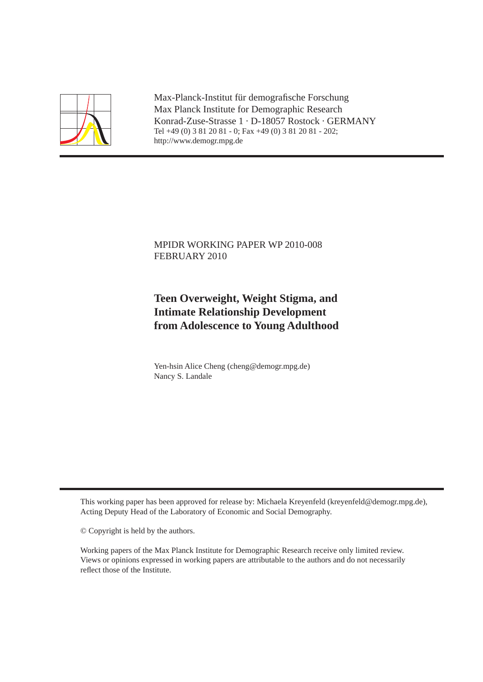

Max-Planck-Institut für demografische Forschung Max Planck Institute for Demographic Research Konrad-Zuse-Strasse 1 · D-18057 Rostock · GERMANY Tel +49 (0) 3 81 20 81 - 0; Fax +49 (0) 3 81 20 81 - 202; http://www.demogr.mpg.de

# MPIDR WORKING PAPER WP 2010-008 FEBRUARY 2010

# **Teen Overweight, Weight Stigma, and Intimate Relationship Development from Adolescence to Young Adulthood**

Yen-hsin Alice Cheng (cheng@demogr.mpg.de) Nancy S. Landale

This working paper has been approved for release by: Michaela Kreyenfeld (kreyenfeld@demogr.mpg.de), Acting Deputy Head of the Laboratory of Economic and Social Demography.

© Copyright is held by the authors.

Working papers of the Max Planck Institute for Demographic Research receive only limited review. Views or opinions expressed in working papers are attributable to the authors and do not necessarily reflect those of the Institute.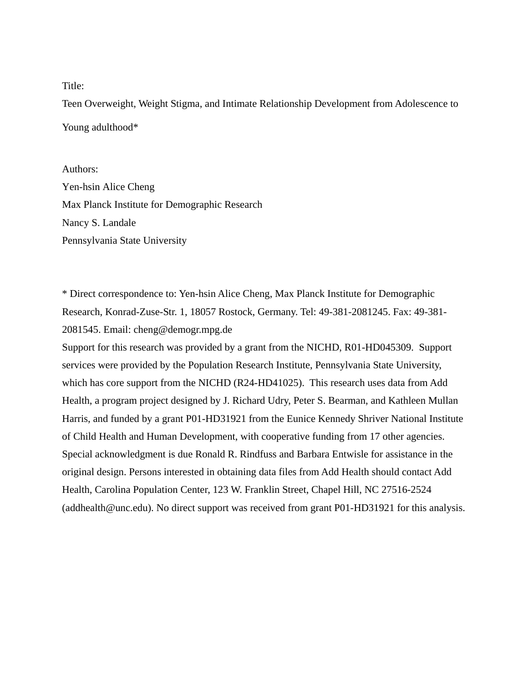#### Title:

Teen Overweight, Weight Stigma, and Intimate Relationship Development from Adolescence to Young adulthood\*

Authors: Yen-hsin Alice Cheng Max Planck Institute for Demographic Research Nancy S. Landale Pennsylvania State University

\* Direct correspondence to: Yen-hsin Alice Cheng, Max Planck Institute for Demographic Research, Konrad-Zuse-Str. 1, 18057 Rostock, Germany. Tel: 49-381-2081245. Fax: 49-381- 2081545. Email: cheng@demogr.mpg.de

Support for this research was provided by a grant from the NICHD, R01-HD045309. Support services were provided by the Population Research Institute, Pennsylvania State University, which has core support from the NICHD (R24-HD41025). This research uses data from Add Health, a program project designed by J. Richard Udry, Peter S. Bearman, and Kathleen Mullan Harris, and funded by a grant P01-HD31921 from the Eunice Kennedy Shriver National Institute of Child Health and Human Development, with cooperative funding from 17 other agencies. Special acknowledgment is due Ronald R. Rindfuss and Barbara Entwisle for assistance in the original design. Persons interested in obtaining data files from Add Health should contact Add Health, Carolina Population Center, 123 W. Franklin Street, Chapel Hill, NC 27516-2524 (addhealth@unc.edu). No direct support was received from grant P01-HD31921 for this analysis.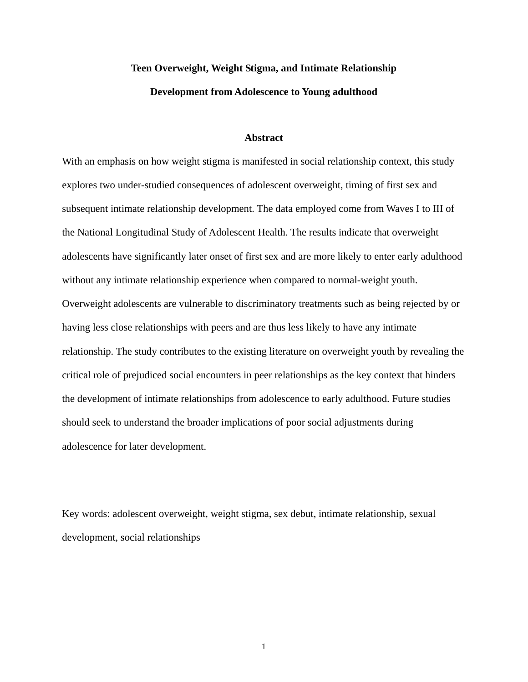# **Teen Overweight, Weight Stigma, and Intimate Relationship Development from Adolescence to Young adulthood**

#### **Abstract**

With an emphasis on how weight stigma is manifested in social relationship context, this study explores two under-studied consequences of adolescent overweight, timing of first sex and subsequent intimate relationship development. The data employed come from Waves I to III of the National Longitudinal Study of Adolescent Health. The results indicate that overweight adolescents have significantly later onset of first sex and are more likely to enter early adulthood without any intimate relationship experience when compared to normal-weight youth. Overweight adolescents are vulnerable to discriminatory treatments such as being rejected by or having less close relationships with peers and are thus less likely to have any intimate relationship. The study contributes to the existing literature on overweight youth by revealing the critical role of prejudiced social encounters in peer relationships as the key context that hinders the development of intimate relationships from adolescence to early adulthood. Future studies should seek to understand the broader implications of poor social adjustments during adolescence for later development.

Key words: adolescent overweight, weight stigma, sex debut, intimate relationship, sexual development, social relationships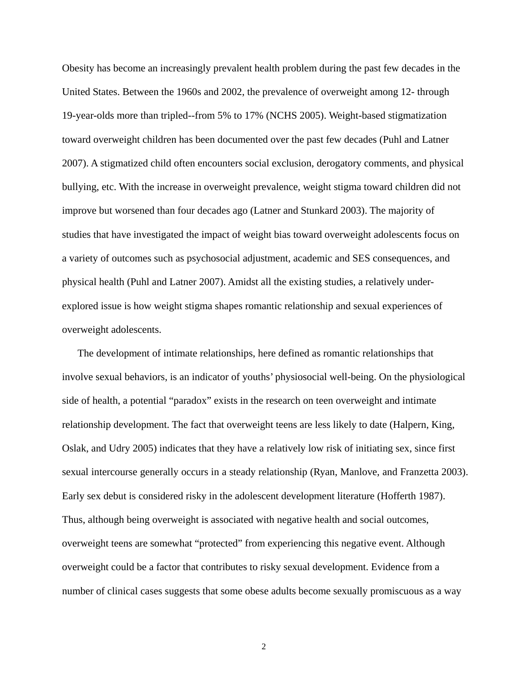Obesity has become an increasingly prevalent health problem during the past few decades in the United States. Between the 1960s and 2002, the prevalence of overweight among 12- through 19-year-olds more than tripled--from 5% to 17% (NCHS 2005). Weight-based stigmatization toward overweight children has been documented over the past few decades (Puhl and Latner 2007). A stigmatized child often encounters social exclusion, derogatory comments, and physical bullying, etc. With the increase in overweight prevalence, weight stigma toward children did not improve but worsened than four decades ago (Latner and Stunkard 2003). The majority of studies that have investigated the impact of weight bias toward overweight adolescents focus on a variety of outcomes such as psychosocial adjustment, academic and SES consequences, and physical health (Puhl and Latner 2007). Amidst all the existing studies, a relatively underexplored issue is how weight stigma shapes romantic relationship and sexual experiences of overweight adolescents.

The development of intimate relationships, here defined as romantic relationships that involve sexual behaviors, is an indicator of youths' physiosocial well-being. On the physiological side of health, a potential "paradox" exists in the research on teen overweight and intimate relationship development. The fact that overweight teens are less likely to date (Halpern, King, Oslak, and Udry 2005) indicates that they have a relatively low risk of initiating sex, since first sexual intercourse generally occurs in a steady relationship (Ryan, Manlove, and Franzetta 2003). Early sex debut is considered risky in the adolescent development literature (Hofferth 1987). Thus, although being overweight is associated with negative health and social outcomes, overweight teens are somewhat "protected" from experiencing this negative event. Although overweight could be a factor that contributes to risky sexual development. Evidence from a number of clinical cases suggests that some obese adults become sexually promiscuous as a way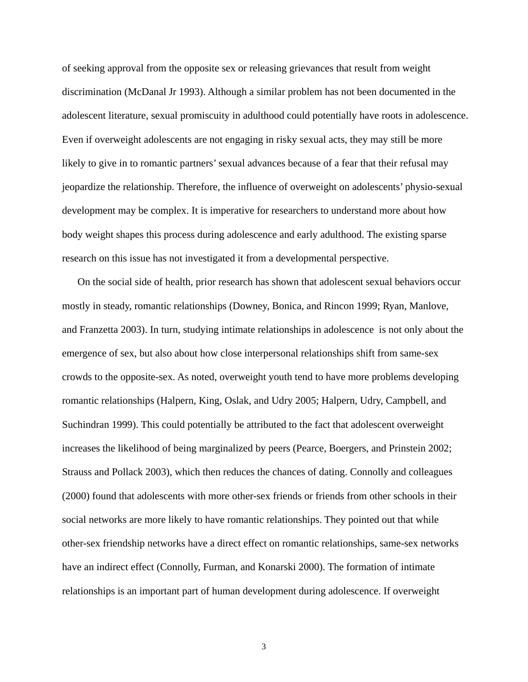of seeking approval from the opposite sex or releasing grievances that result from weight discrimination (McDanal Jr 1993). Although a similar problem has not been documented in the adolescent literature, sexual promiscuity in adulthood could potentially have roots in adolescence. Even if overweight adolescents are not engaging in risky sexual acts, they may still be more likely to give in to romantic partners' sexual advances because of a fear that their refusal may jeopardize the relationship. Therefore, the influence of overweight on adolescents' physio-sexual development may be complex. It is imperative for researchers to understand more about how body weight shapes this process during adolescence and early adulthood. The existing sparse research on this issue has not investigated it from a developmental perspective.

On the social side of health, prior research has shown that adolescent sexual behaviors occur mostly in steady, romantic relationships (Downey, Bonica, and Rincon 1999; Ryan, Manlove, and Franzetta 2003). In turn, studying intimate relationships in adolescence is not only about the emergence of sex, but also about how close interpersonal relationships shift from same-sex crowds to the opposite-sex. As noted, overweight youth tend to have more problems developing romantic relationships (Halpern, King, Oslak, and Udry 2005; Halpern, Udry, Campbell, and Suchindran 1999). This could potentially be attributed to the fact that adolescent overweight increases the likelihood of being marginalized by peers (Pearce, Boergers, and Prinstein 2002; Strauss and Pollack 2003), which then reduces the chances of dating. Connolly and colleagues (2000) found that adolescents with more other-sex friends or friends from other schools in their social networks are more likely to have romantic relationships. They pointed out that while other-sex friendship networks have a direct effect on romantic relationships, same-sex networks have an indirect effect (Connolly, Furman, and Konarski 2000). The formation of intimate relationships is an important part of human development during adolescence. If overweight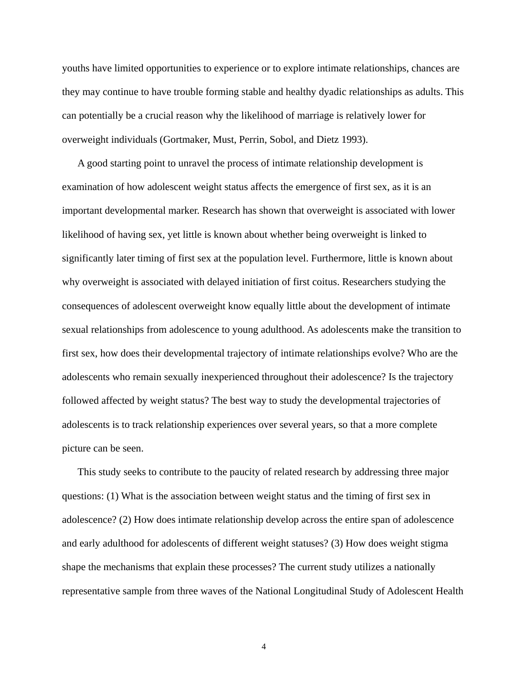youths have limited opportunities to experience or to explore intimate relationships, chances are they may continue to have trouble forming stable and healthy dyadic relationships as adults. This can potentially be a crucial reason why the likelihood of marriage is relatively lower for overweight individuals (Gortmaker, Must, Perrin, Sobol, and Dietz 1993).

A good starting point to unravel the process of intimate relationship development is examination of how adolescent weight status affects the emergence of first sex, as it is an important developmental marker. Research has shown that overweight is associated with lower likelihood of having sex, yet little is known about whether being overweight is linked to significantly later timing of first sex at the population level. Furthermore, little is known about why overweight is associated with delayed initiation of first coitus. Researchers studying the consequences of adolescent overweight know equally little about the development of intimate sexual relationships from adolescence to young adulthood. As adolescents make the transition to first sex, how does their developmental trajectory of intimate relationships evolve? Who are the adolescents who remain sexually inexperienced throughout their adolescence? Is the trajectory followed affected by weight status? The best way to study the developmental trajectories of adolescents is to track relationship experiences over several years, so that a more complete picture can be seen.

This study seeks to contribute to the paucity of related research by addressing three major questions: (1) What is the association between weight status and the timing of first sex in adolescence? (2) How does intimate relationship develop across the entire span of adolescence and early adulthood for adolescents of different weight statuses? (3) How does weight stigma shape the mechanisms that explain these processes? The current study utilizes a nationally representative sample from three waves of the National Longitudinal Study of Adolescent Health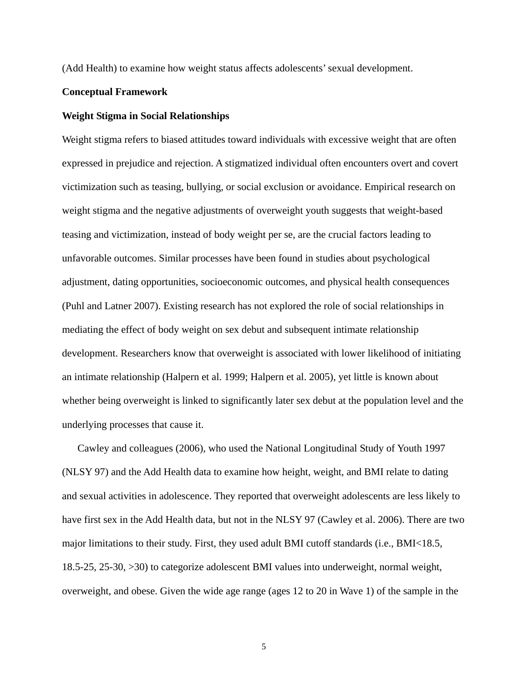(Add Health) to examine how weight status affects adolescents' sexual development.

#### **Conceptual Framework**

#### **Weight Stigma in Social Relationships**

Weight stigma refers to biased attitudes toward individuals with excessive weight that are often expressed in prejudice and rejection. A stigmatized individual often encounters overt and covert victimization such as teasing, bullying, or social exclusion or avoidance. Empirical research on weight stigma and the negative adjustments of overweight youth suggests that weight-based teasing and victimization, instead of body weight per se, are the crucial factors leading to unfavorable outcomes. Similar processes have been found in studies about psychological adjustment, dating opportunities, socioeconomic outcomes, and physical health consequences (Puhl and Latner 2007). Existing research has not explored the role of social relationships in mediating the effect of body weight on sex debut and subsequent intimate relationship development. Researchers know that overweight is associated with lower likelihood of initiating an intimate relationship (Halpern et al. 1999; Halpern et al. 2005), yet little is known about whether being overweight is linked to significantly later sex debut at the population level and the underlying processes that cause it.

Cawley and colleagues (2006), who used the National Longitudinal Study of Youth 1997 (NLSY 97) and the Add Health data to examine how height, weight, and BMI relate to dating and sexual activities in adolescence. They reported that overweight adolescents are less likely to have first sex in the Add Health data, but not in the NLSY 97 (Cawley et al. 2006). There are two major limitations to their study. First, they used adult BMI cutoff standards (i.e., BMI<18.5, 18.5-25, 25-30, >30) to categorize adolescent BMI values into underweight, normal weight, overweight, and obese. Given the wide age range (ages 12 to 20 in Wave 1) of the sample in the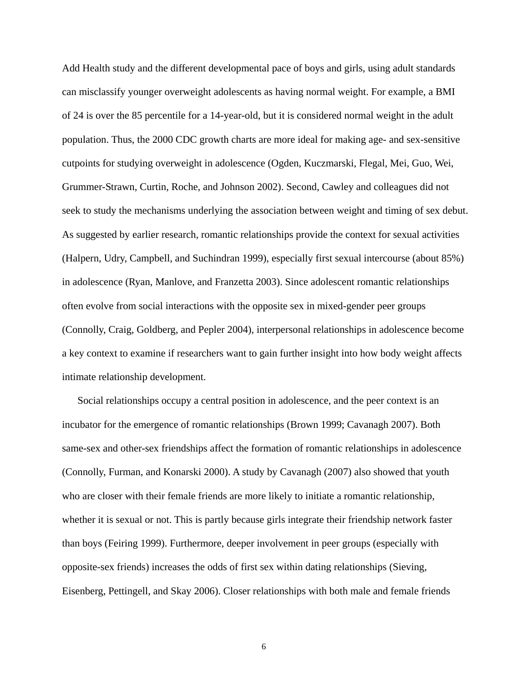Add Health study and the different developmental pace of boys and girls, using adult standards can misclassify younger overweight adolescents as having normal weight. For example, a BMI of 24 is over the 85 percentile for a 14-year-old, but it is considered normal weight in the adult population. Thus, the 2000 CDC growth charts are more ideal for making age- and sex-sensitive cutpoints for studying overweight in adolescence (Ogden, Kuczmarski, Flegal, Mei, Guo, Wei, Grummer-Strawn, Curtin, Roche, and Johnson 2002). Second, Cawley and colleagues did not seek to study the mechanisms underlying the association between weight and timing of sex debut. As suggested by earlier research, romantic relationships provide the context for sexual activities (Halpern, Udry, Campbell, and Suchindran 1999), especially first sexual intercourse (about 85%) in adolescence (Ryan, Manlove, and Franzetta 2003). Since adolescent romantic relationships often evolve from social interactions with the opposite sex in mixed-gender peer groups (Connolly, Craig, Goldberg, and Pepler 2004), interpersonal relationships in adolescence become a key context to examine if researchers want to gain further insight into how body weight affects intimate relationship development.

Social relationships occupy a central position in adolescence, and the peer context is an incubator for the emergence of romantic relationships (Brown 1999; Cavanagh 2007). Both same-sex and other-sex friendships affect the formation of romantic relationships in adolescence (Connolly, Furman, and Konarski 2000). A study by Cavanagh (2007) also showed that youth who are closer with their female friends are more likely to initiate a romantic relationship, whether it is sexual or not. This is partly because girls integrate their friendship network faster than boys (Feiring 1999). Furthermore, deeper involvement in peer groups (especially with opposite-sex friends) increases the odds of first sex within dating relationships (Sieving, Eisenberg, Pettingell, and Skay 2006). Closer relationships with both male and female friends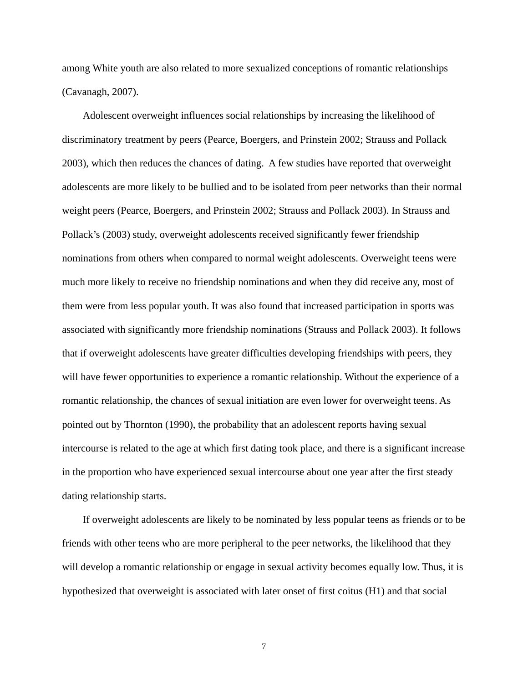among White youth are also related to more sexualized conceptions of romantic relationships (Cavanagh, 2007).

Adolescent overweight influences social relationships by increasing the likelihood of discriminatory treatment by peers (Pearce, Boergers, and Prinstein 2002; Strauss and Pollack 2003), which then reduces the chances of dating. A few studies have reported that overweight adolescents are more likely to be bullied and to be isolated from peer networks than their normal weight peers (Pearce, Boergers, and Prinstein 2002; Strauss and Pollack 2003). In Strauss and Pollack's (2003) study, overweight adolescents received significantly fewer friendship nominations from others when compared to normal weight adolescents. Overweight teens were much more likely to receive no friendship nominations and when they did receive any, most of them were from less popular youth. It was also found that increased participation in sports was associated with significantly more friendship nominations (Strauss and Pollack 2003). It follows that if overweight adolescents have greater difficulties developing friendships with peers, they will have fewer opportunities to experience a romantic relationship. Without the experience of a romantic relationship, the chances of sexual initiation are even lower for overweight teens. As pointed out by Thornton (1990), the probability that an adolescent reports having sexual intercourse is related to the age at which first dating took place, and there is a significant increase in the proportion who have experienced sexual intercourse about one year after the first steady dating relationship starts.

If overweight adolescents are likely to be nominated by less popular teens as friends or to be friends with other teens who are more peripheral to the peer networks, the likelihood that they will develop a romantic relationship or engage in sexual activity becomes equally low. Thus, it is hypothesized that overweight is associated with later onset of first coitus (H1) and that social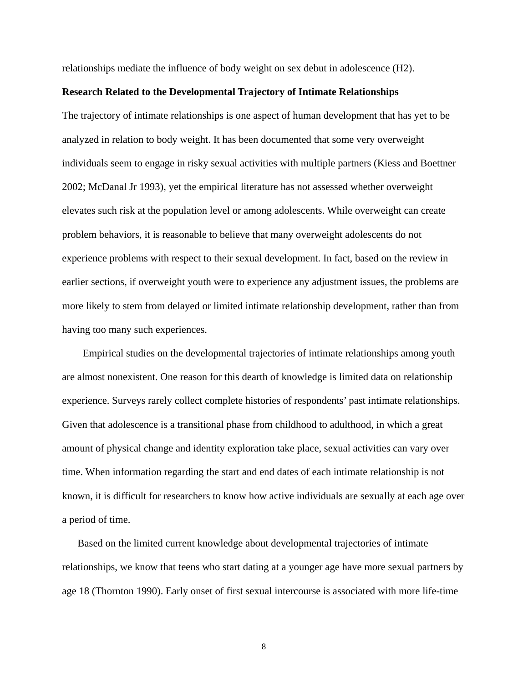relationships mediate the influence of body weight on sex debut in adolescence (H2).

#### **Research Related to the Developmental Trajectory of Intimate Relationships**

The trajectory of intimate relationships is one aspect of human development that has yet to be analyzed in relation to body weight. It has been documented that some very overweight individuals seem to engage in risky sexual activities with multiple partners (Kiess and Boettner 2002; McDanal Jr 1993), yet the empirical literature has not assessed whether overweight elevates such risk at the population level or among adolescents. While overweight can create problem behaviors, it is reasonable to believe that many overweight adolescents do not experience problems with respect to their sexual development. In fact, based on the review in earlier sections, if overweight youth were to experience any adjustment issues, the problems are more likely to stem from delayed or limited intimate relationship development, rather than from having too many such experiences.

Empirical studies on the developmental trajectories of intimate relationships among youth are almost nonexistent. One reason for this dearth of knowledge is limited data on relationship experience. Surveys rarely collect complete histories of respondents' past intimate relationships. Given that adolescence is a transitional phase from childhood to adulthood, in which a great amount of physical change and identity exploration take place, sexual activities can vary over time. When information regarding the start and end dates of each intimate relationship is not known, it is difficult for researchers to know how active individuals are sexually at each age over a period of time.

Based on the limited current knowledge about developmental trajectories of intimate relationships, we know that teens who start dating at a younger age have more sexual partners by age 18 (Thornton 1990). Early onset of first sexual intercourse is associated with more life-time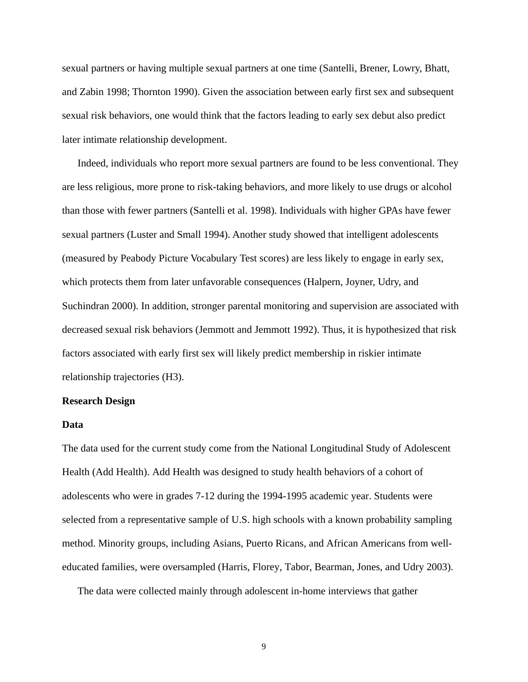sexual partners or having multiple sexual partners at one time (Santelli, Brener, Lowry, Bhatt, and Zabin 1998; Thornton 1990). Given the association between early first sex and subsequent sexual risk behaviors, one would think that the factors leading to early sex debut also predict later intimate relationship development.

Indeed, individuals who report more sexual partners are found to be less conventional. They are less religious, more prone to risk-taking behaviors, and more likely to use drugs or alcohol than those with fewer partners (Santelli et al. 1998). Individuals with higher GPAs have fewer sexual partners (Luster and Small 1994). Another study showed that intelligent adolescents (measured by Peabody Picture Vocabulary Test scores) are less likely to engage in early sex, which protects them from later unfavorable consequences (Halpern, Joyner, Udry, and Suchindran 2000). In addition, stronger parental monitoring and supervision are associated with decreased sexual risk behaviors (Jemmott and Jemmott 1992). Thus, it is hypothesized that risk factors associated with early first sex will likely predict membership in riskier intimate relationship trajectories (H3).

## **Research Design**

#### **Data**

The data used for the current study come from the National Longitudinal Study of Adolescent Health (Add Health). Add Health was designed to study health behaviors of a cohort of adolescents who were in grades 7-12 during the 1994-1995 academic year. Students were selected from a representative sample of U.S. high schools with a known probability sampling method. Minority groups, including Asians, Puerto Ricans, and African Americans from welleducated families, were oversampled (Harris, Florey, Tabor, Bearman, Jones, and Udry 2003).

The data were collected mainly through adolescent in-home interviews that gather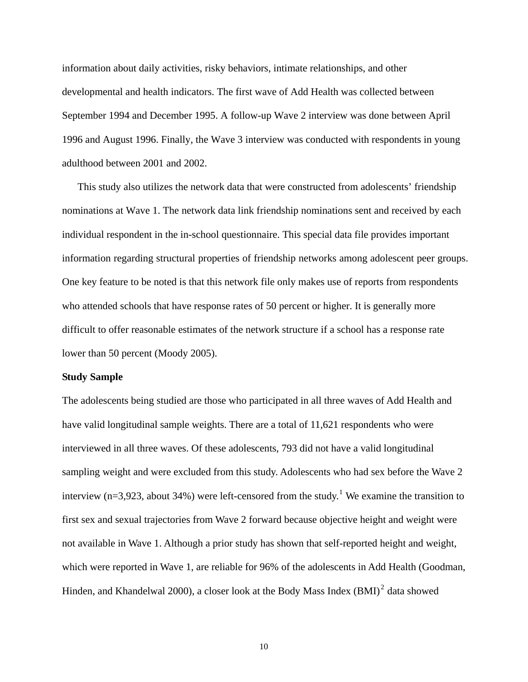information about daily activities, risky behaviors, intimate relationships, and other developmental and health indicators. The first wave of Add Health was collected between September 1994 and December 1995. A follow-up Wave 2 interview was done between April 1996 and August 1996. Finally, the Wave 3 interview was conducted with respondents in young adulthood between 2001 and 2002.

This study also utilizes the network data that were constructed from adolescents' friendship nominations at Wave 1. The network data link friendship nominations sent and received by each individual respondent in the in-school questionnaire. This special data file provides important information regarding structural properties of friendship networks among adolescent peer groups. One key feature to be noted is that this network file only makes use of reports from respondents who attended schools that have response rates of 50 percent or higher. It is generally more difficult to offer reasonable estimates of the network structure if a school has a response rate lower than 50 percent (Moody 2005).

#### **Study Sample**

The adolescents being studied are those who participated in all three waves of Add Health and have valid longitudinal sample weights. There are a total of 11,621 respondents who were interviewed in all three waves. Of these adolescents, 793 did not have a valid longitudinal sampling weight and were excluded from this study. Adolescents who had sex before the Wave 2 interview (n=3,923, about 34%) were left-censored from the study.<sup>[1](#page-28-0)</sup> We examine the transition to first sex and sexual trajectories from Wave 2 forward because objective height and weight were not available in Wave 1. Although a prior study has shown that self-reported height and weight, which were reported in Wave 1, are reliable for 96% of the adolescents in Add Health (Goodman, Hinden, and Khandelwal [2](#page-28-1)000), a closer look at the Body Mass Index  $(BMI)^2$  data showed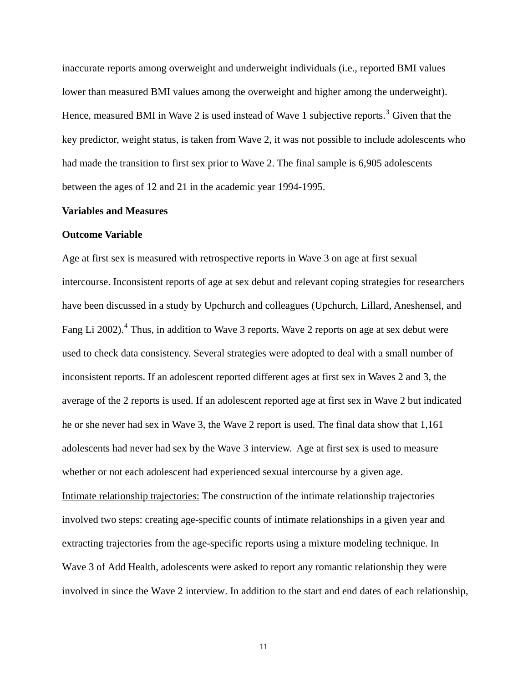inaccurate reports among overweight and underweight individuals (i.e., reported BMI values lower than measured BMI values among the overweight and higher among the underweight). Hence, measured BMI in Wave 2 is used instead of Wave 1 subjective reports.<sup>[3](#page-28-1)</sup> Given that the key predictor, weight status, is taken from Wave 2, it was not possible to include adolescents who had made the transition to first sex prior to Wave 2. The final sample is 6,905 adolescents between the ages of 12 and 21 in the academic year 1994-1995.

#### **Variables and Measures**

#### **Outcome Variable**

Age at first sex is measured with retrospective reports in Wave 3 on age at first sexual intercourse. Inconsistent reports of age at sex debut and relevant coping strategies for researchers have been discussed in a study by Upchurch and colleagues (Upchurch, Lillard, Aneshensel, and Fang Li 2002).<sup>[4](#page-28-1)</sup> Thus, in addition to Wave 3 reports, Wave 2 reports on age at sex debut were used to check data consistency. Several strategies were adopted to deal with a small number of inconsistent reports. If an adolescent reported different ages at first sex in Waves 2 and 3, the average of the 2 reports is used. If an adolescent reported age at first sex in Wave 2 but indicated he or she never had sex in Wave 3, the Wave 2 report is used. The final data show that 1,161 adolescents had never had sex by the Wave 3 interview. Age at first sex is used to measure whether or not each adolescent had experienced sexual intercourse by a given age. Intimate relationship trajectories: The construction of the intimate relationship trajectories involved two steps: creating age-specific counts of intimate relationships in a given year and extracting trajectories from the age-specific reports using a mixture modeling technique. In Wave 3 of Add Health, adolescents were asked to report any romantic relationship they were involved in since the Wave 2 interview. In addition to the start and end dates of each relationship,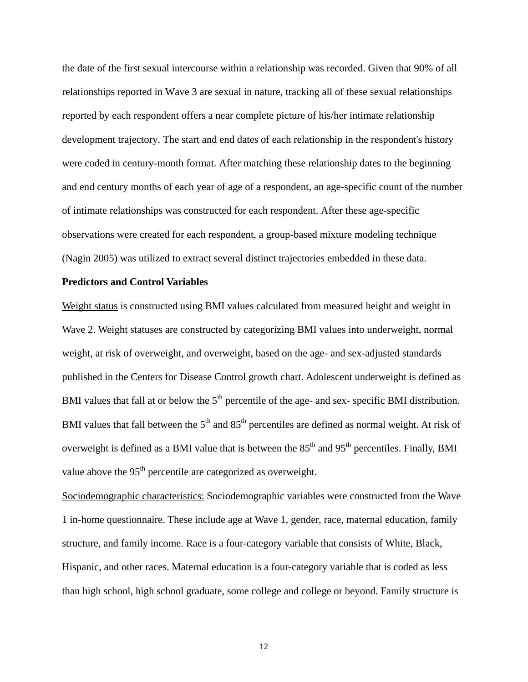the date of the first sexual intercourse within a relationship was recorded. Given that 90% of all relationships reported in Wave 3 are sexual in nature, tracking all of these sexual relationships reported by each respondent offers a near complete picture of his/her intimate relationship development trajectory. The start and end dates of each relationship in the respondent's history were coded in century-month format. After matching these relationship dates to the beginning and end century months of each year of age of a respondent, an age-specific count of the number of intimate relationships was constructed for each respondent. After these age-specific observations were created for each respondent, a group-based mixture modeling technique (Nagin 2005) was utilized to extract several distinct trajectories embedded in these data.

#### **Predictors and Control Variables**

Weight status is constructed using BMI values calculated from measured height and weight in Wave 2. Weight statuses are constructed by categorizing BMI values into underweight, normal weight, at risk of overweight, and overweight, based on the age- and sex-adjusted standards published in the Centers for Disease Control growth chart. Adolescent underweight is defined as BMI values that fall at or below the  $5<sup>th</sup>$  percentile of the age- and sex- specific BMI distribution. BMI values that fall between the  $5<sup>th</sup>$  and  $85<sup>th</sup>$  percentiles are defined as normal weight. At risk of overweight is defined as a BMI value that is between the  $85<sup>th</sup>$  and  $95<sup>th</sup>$  percentiles. Finally, BMI value above the 95<sup>th</sup> percentile are categorized as overweight.

Sociodemographic characteristics: Sociodemographic variables were constructed from the Wave 1 in-home questionnaire. These include age at Wave 1, gender, race, maternal education, family structure, and family income. Race is a four-category variable that consists of White, Black, Hispanic, and other races. Maternal education is a four-category variable that is coded as less than high school, high school graduate, some college and college or beyond. Family structure is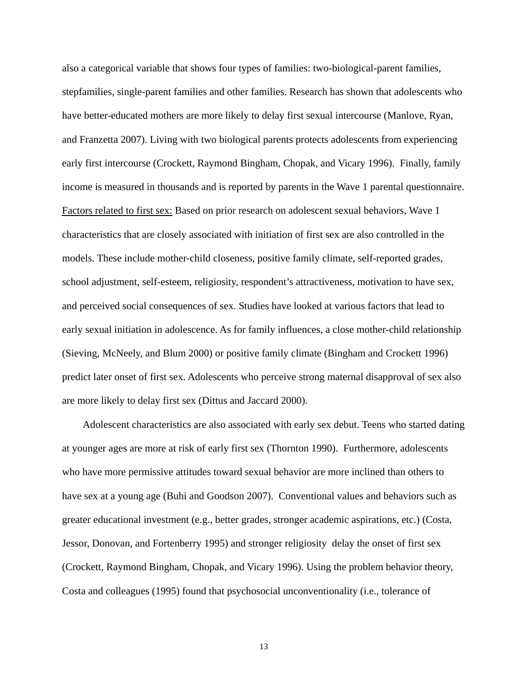also a categorical variable that shows four types of families: two-biological-parent families, stepfamilies, single-parent families and other families. Research has shown that adolescents who have better-educated mothers are more likely to delay first sexual intercourse (Manlove, Ryan, and Franzetta 2007). Living with two biological parents protects adolescents from experiencing early first intercourse (Crockett, Raymond Bingham, Chopak, and Vicary 1996). Finally, family income is measured in thousands and is reported by parents in the Wave 1 parental questionnaire. Factors related to first sex: Based on prior research on adolescent sexual behaviors, Wave 1 characteristics that are closely associated with initiation of first sex are also controlled in the models. These include mother-child closeness, positive family climate, self-reported grades, school adjustment, self-esteem, religiosity, respondent's attractiveness, motivation to have sex, and perceived social consequences of sex. Studies have looked at various factors that lead to early sexual initiation in adolescence. As for family influences, a close mother-child relationship (Sieving, McNeely, and Blum 2000) or positive family climate (Bingham and Crockett 1996) predict later onset of first sex. Adolescents who perceive strong maternal disapproval of sex also are more likely to delay first sex (Dittus and Jaccard 2000).

Adolescent characteristics are also associated with early sex debut. Teens who started dating at younger ages are more at risk of early first sex (Thornton 1990). Furthermore, adolescents who have more permissive attitudes toward sexual behavior are more inclined than others to have sex at a young age (Buhi and Goodson 2007). Conventional values and behaviors such as greater educational investment (e.g., better grades, stronger academic aspirations, etc.) (Costa, Jessor, Donovan, and Fortenberry 1995) and stronger religiosity delay the onset of first sex (Crockett, Raymond Bingham, Chopak, and Vicary 1996). Using the problem behavior theory, Costa and colleagues (1995) found that psychosocial unconventionality (i.e., tolerance of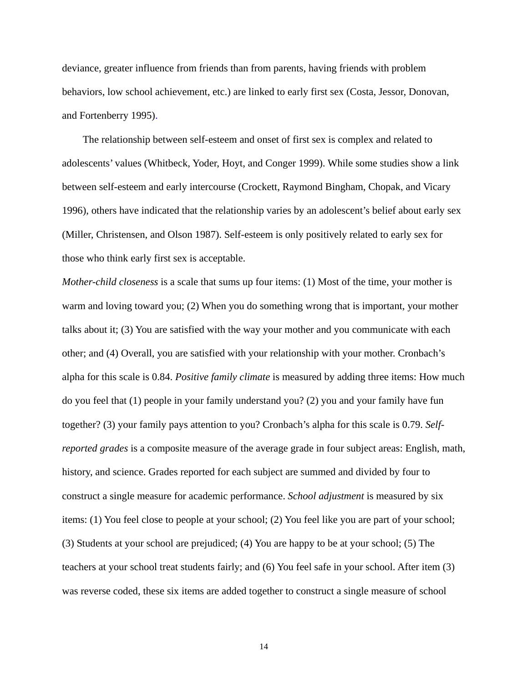deviance, greater influence from friends than from parents, having friends with problem behaviors, low school achievement, etc.) are linked to early first sex (Costa, Jessor, Donovan, and Fortenberry 1995).

The relationship between self-esteem and onset of first sex is complex and related to adolescents' values (Whitbeck, Yoder, Hoyt, and Conger 1999). While some studies show a link between self-esteem and early intercourse (Crockett, Raymond Bingham, Chopak, and Vicary 1996), others have indicated that the relationship varies by an adolescent's belief about early sex (Miller, Christensen, and Olson 1987). Self-esteem is only positively related to early sex for those who think early first sex is acceptable.

*Mother-child closeness* is a scale that sums up four items: (1) Most of the time, your mother is warm and loving toward you; (2) When you do something wrong that is important, your mother talks about it; (3) You are satisfied with the way your mother and you communicate with each other; and (4) Overall, you are satisfied with your relationship with your mother. Cronbach's alpha for this scale is 0.84. *Positive family climate* is measured by adding three items: How much do you feel that (1) people in your family understand you? (2) you and your family have fun together? (3) your family pays attention to you? Cronbach's alpha for this scale is 0.79. *Selfreported grades* is a composite measure of the average grade in four subject areas: English, math, history, and science. Grades reported for each subject are summed and divided by four to construct a single measure for academic performance. *School adjustment* is measured by six items: (1) You feel close to people at your school; (2) You feel like you are part of your school; (3) Students at your school are prejudiced; (4) You are happy to be at your school; (5) The teachers at your school treat students fairly; and (6) You feel safe in your school. After item (3) was reverse coded, these six items are added together to construct a single measure of school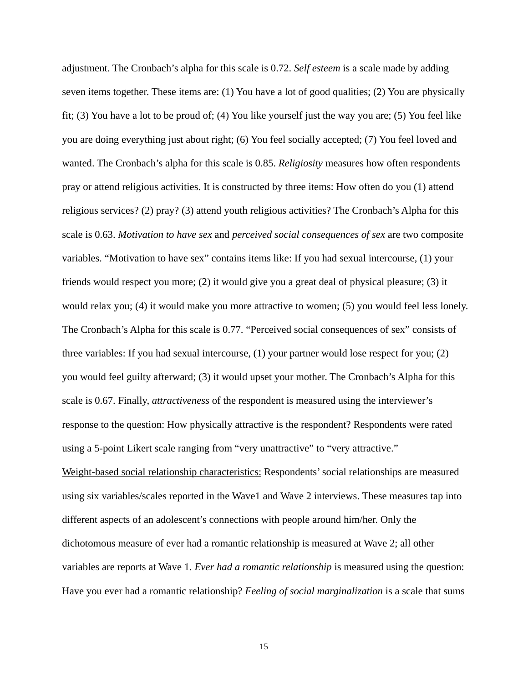adjustment. The Cronbach's alpha for this scale is 0.72. *Self esteem* is a scale made by adding seven items together. These items are: (1) You have a lot of good qualities; (2) You are physically fit; (3) You have a lot to be proud of; (4) You like yourself just the way you are; (5) You feel like you are doing everything just about right; (6) You feel socially accepted; (7) You feel loved and wanted. The Cronbach's alpha for this scale is 0.85. *Religiosity* measures how often respondents pray or attend religious activities. It is constructed by three items: How often do you (1) attend religious services? (2) pray? (3) attend youth religious activities? The Cronbach's Alpha for this scale is 0.63. *Motivation to have sex* and *perceived social consequences of sex* are two composite variables. "Motivation to have sex" contains items like: If you had sexual intercourse, (1) your friends would respect you more; (2) it would give you a great deal of physical pleasure; (3) it would relax you; (4) it would make you more attractive to women; (5) you would feel less lonely. The Cronbach's Alpha for this scale is 0.77. "Perceived social consequences of sex" consists of three variables: If you had sexual intercourse, (1) your partner would lose respect for you; (2) you would feel guilty afterward; (3) it would upset your mother. The Cronbach's Alpha for this scale is 0.67. Finally, *attractiveness* of the respondent is measured using the interviewer's response to the question: How physically attractive is the respondent? Respondents were rated using a 5-point Likert scale ranging from "very unattractive" to "very attractive." Weight-based social relationship characteristics: Respondents' social relationships are measured using six variables/scales reported in the Wave1 and Wave 2 interviews. These measures tap into different aspects of an adolescent's connections with people around him/her. Only the dichotomous measure of ever had a romantic relationship is measured at Wave 2; all other variables are reports at Wave 1. *Ever had a romantic relationship* is measured using the question: Have you ever had a romantic relationship? *Feeling of social marginalization* is a scale that sums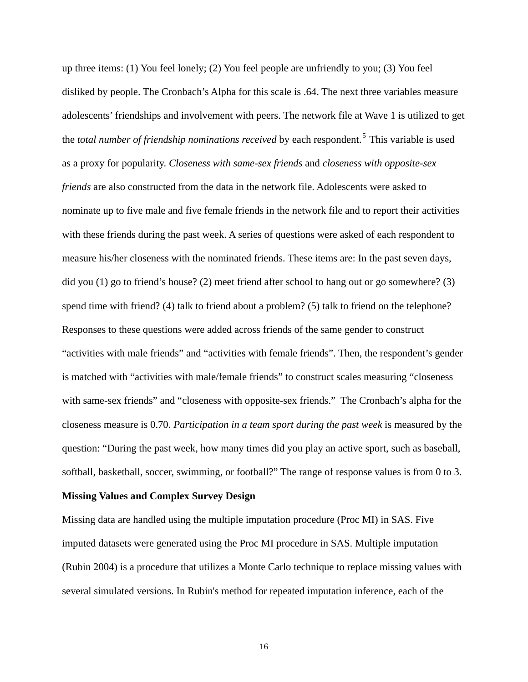up three items: (1) You feel lonely; (2) You feel people are unfriendly to you; (3) You feel disliked by people. The Cronbach's Alpha for this scale is .64. The next three variables measure adolescents' friendships and involvement with peers. The network file at Wave 1 is utilized to get the *total number of friendship nominations received* by each respondent.<sup>5</sup> This variable is used as a proxy for popularity. *[Closeness with same-sex friends](#page-29-0)* and *closeness with opposite-sex friends* [are also constructed from the data in the network file. Adolescents were asked to](#page-29-0)  [nominate up to five male and five female friends in the network file and to report their activities](#page-29-0)  [with these friends during the past week. A series of questions were asked of each respondent to](#page-29-0) [measure his/her closeness with the nominated friends. These items are: In the past seven days,](#page-29-0)  [did you \(1\) go to friend's house? \(2\) meet friend after school to hang out or go somewhere? \(3\)](#page-29-0)  [spend time with friend? \(4\) talk to friend about a problem? \(5\) talk to friend on the telephone?](#page-29-0)  [Responses to these questions were added across friends of the same gender to construct](#page-29-0)  ["activities with male friends" and "activities with female friends". Then, the respondent's gen](#page-29-0) der [is matched with "activities with male/female friends" to construct scales measuring "closeness](#page-29-0) [with same-sex friends" and "closeness with opposite-sex friends." The Cronbach's alpha for](#page-29-0) the closeness measure is 0.70. *[Participation in a team sport during the past week](#page-29-0)* is measured by the [question: "During the past week, how many times did you play an active sport, such as baseball,](#page-29-0) [softball, basketball, soccer, swimming, or football?" The range of response values is from](#page-29-0) 0 to 3.

#### **Missing Values and Complex Survey Design**

Missing data are handled using the multiple imputation procedure (Proc MI) in SAS. Five imputed datasets were generated using the Proc MI procedure in SAS. Multiple imputation (Rubin 2004) is a procedure that utilizes a Monte Carlo technique to replace missing values with several simulated versions. In Rubin's method for repeated imputation inference, each of the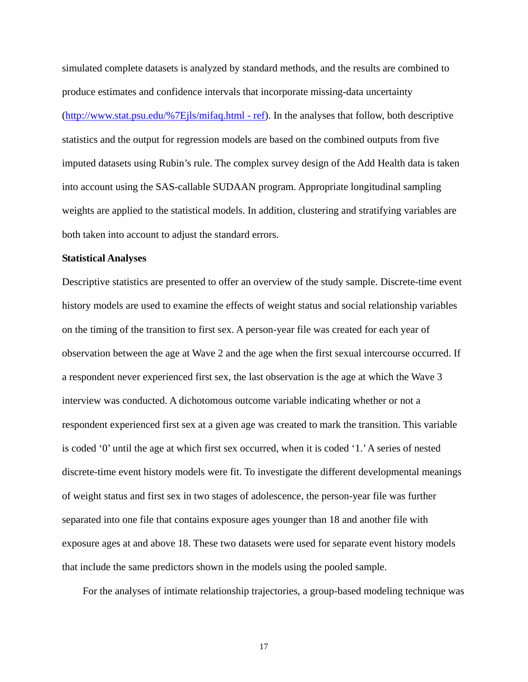simulated complete datasets is analyzed by standard methods, and the results are combined to produce estimates and confidence intervals that incorporate missing-data uncertainty ([http://www.stat.psu.edu/%7Ejls/mifaq.html - ref](http://www.stat.psu.edu/~jls/mifaq.html#ref)). In the analyses that follow, both descriptive statistics and the output for regression models are based on the combined outputs from five imputed datasets using Rubin's rule. The complex survey design of the Add Health data is taken into account using the SAS-callable SUDAAN program. Appropriate longitudinal sampling weights are applied to the statistical models. In addition, clustering and stratifying variables are both taken into account to adjust the standard errors.

#### **Statistical Analyses**

Descriptive statistics are presented to offer an overview of the study sample. Discrete-time event history models are used to examine the effects of weight status and social relationship variables on the timing of the transition to first sex. A person-year file was created for each year of observation between the age at Wave 2 and the age when the first sexual intercourse occurred. If a respondent never experienced first sex, the last observation is the age at which the Wave 3 interview was conducted. A dichotomous outcome variable indicating whether or not a respondent experienced first sex at a given age was created to mark the transition. This variable is coded '0' until the age at which first sex occurred, when it is coded '1.' A series of nested discrete-time event history models were fit. To investigate the different developmental meanings of weight status and first sex in two stages of adolescence, the person-year file was further separated into one file that contains exposure ages younger than 18 and another file with exposure ages at and above 18. These two datasets were used for separate event history models that include the same predictors shown in the models using the pooled sample.

For the analyses of intimate relationship trajectories, a group-based modeling technique was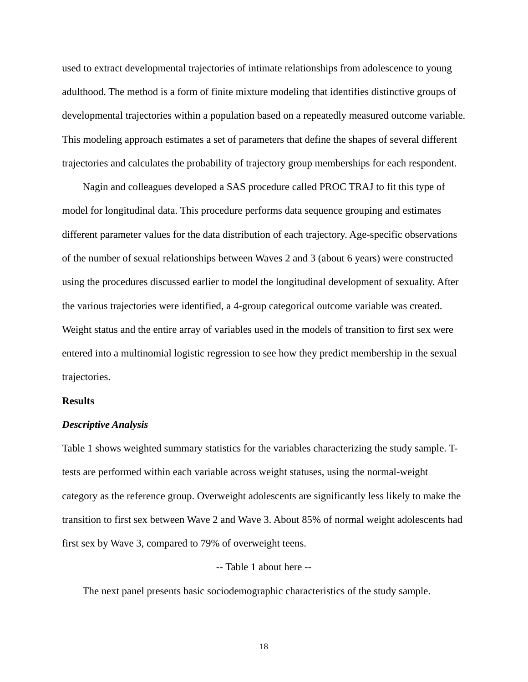used to extract developmental trajectories of intimate relationships from adolescence to young adulthood. The method is a form of finite mixture modeling that identifies distinctive groups of developmental trajectories within a population based on a repeatedly measured outcome variable. This modeling approach estimates a set of parameters that define the shapes of several different trajectories and calculates the probability of trajectory group memberships for each respondent.

Nagin and colleagues developed a SAS procedure called PROC TRAJ to fit this type of model for longitudinal data. This procedure performs data sequence grouping and estimates different parameter values for the data distribution of each trajectory. Age-specific observations of the number of sexual relationships between Waves 2 and 3 (about 6 years) were constructed using the procedures discussed earlier to model the longitudinal development of sexuality. After the various trajectories were identified, a 4-group categorical outcome variable was created. Weight status and the entire array of variables used in the models of transition to first sex were entered into a multinomial logistic regression to see how they predict membership in the sexual trajectories.

#### **Results**

#### *Descriptive Analysis*

Table 1 shows weighted summary statistics for the variables characterizing the study sample. Ttests are performed within each variable across weight statuses, using the normal-weight category as the reference group. Overweight adolescents are significantly less likely to make the transition to first sex between Wave 2 and Wave 3. About 85% of normal weight adolescents had first sex by Wave 3, compared to 79% of overweight teens.

#### -- Table 1 about here --

The next panel presents basic sociodemographic characteristics of the study sample.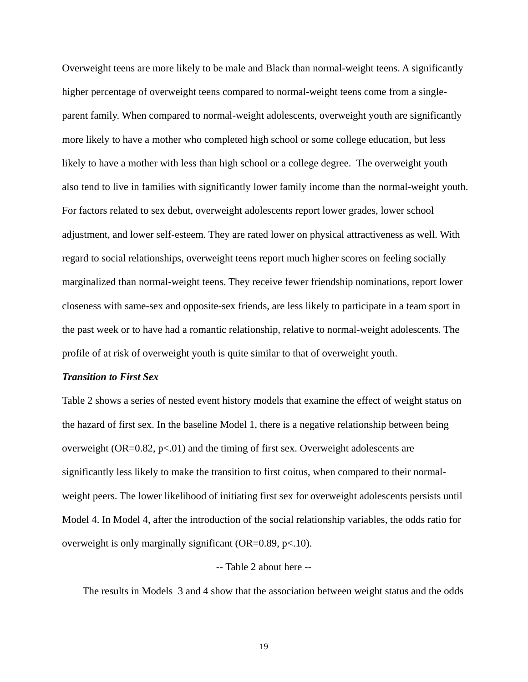Overweight teens are more likely to be male and Black than normal-weight teens. A significantly higher percentage of overweight teens compared to normal-weight teens come from a singleparent family. When compared to normal-weight adolescents, overweight youth are significantly more likely to have a mother who completed high school or some college education, but less likely to have a mother with less than high school or a college degree. The overweight youth also tend to live in families with significantly lower family income than the normal-weight youth. For factors related to sex debut, overweight adolescents report lower grades, lower school adjustment, and lower self-esteem. They are rated lower on physical attractiveness as well. With regard to social relationships, overweight teens report much higher scores on feeling socially marginalized than normal-weight teens. They receive fewer friendship nominations, report lower closeness with same-sex and opposite-sex friends, are less likely to participate in a team sport in the past week or to have had a romantic relationship, relative to normal-weight adolescents. The profile of at risk of overweight youth is quite similar to that of overweight youth.

#### *Transition to First Sex*

Table 2 shows a series of nested event history models that examine the effect of weight status on the hazard of first sex. In the baseline Model 1, there is a negative relationship between being overweight  $(OR=0.82, p<.01)$  and the timing of first sex. Overweight adolescents are significantly less likely to make the transition to first coitus, when compared to their normalweight peers. The lower likelihood of initiating first sex for overweight adolescents persists until Model 4. In Model 4, after the introduction of the social relationship variables, the odds ratio for overweight is only marginally significant (OR=0.89,  $p<10$ ).

#### -- Table 2 about here --

The results in Models 3 and 4 show that the association between weight status and the odds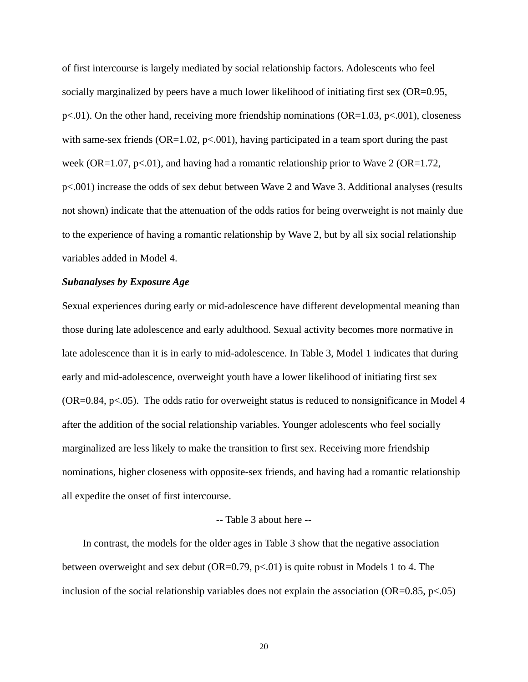of first intercourse is largely mediated by social relationship factors. Adolescents who feel socially marginalized by peers have a much lower likelihood of initiating first sex (OR=0.95,  $p<.01$ ). On the other hand, receiving more friendship nominations (OR=1.03,  $p<.001$ ), closeness with same-sex friends ( $OR=1.02$ ,  $p<.001$ ), having participated in a team sport during the past week (OR=1.07, p<.01), and having had a romantic relationship prior to Wave 2 (OR=1.72, p<.001) increase the odds of sex debut between Wave 2 and Wave 3. Additional analyses (results not shown) indicate that the attenuation of the odds ratios for being overweight is not mainly due to the experience of having a romantic relationship by Wave 2, but by all six social relationship variables added in Model 4.

#### *Subanalyses by Exposure Age*

Sexual experiences during early or mid-adolescence have different developmental meaning than those during late adolescence and early adulthood. Sexual activity becomes more normative in late adolescence than it is in early to mid-adolescence. In Table 3, Model 1 indicates that during early and mid-adolescence, overweight youth have a lower likelihood of initiating first sex (OR=0.84, p<.05). The odds ratio for overweight status is reduced to nonsignificance in Model 4 after the addition of the social relationship variables. Younger adolescents who feel socially marginalized are less likely to make the transition to first sex. Receiving more friendship nominations, higher closeness with opposite-sex friends, and having had a romantic relationship all expedite the onset of first intercourse.

#### -- Table 3 about here --

In contrast, the models for the older ages in Table 3 show that the negative association between overweight and sex debut (OR=0.79, p<.01) is quite robust in Models 1 to 4. The inclusion of the social relationship variables does not explain the association (OR=0.85,  $p<0.05$ )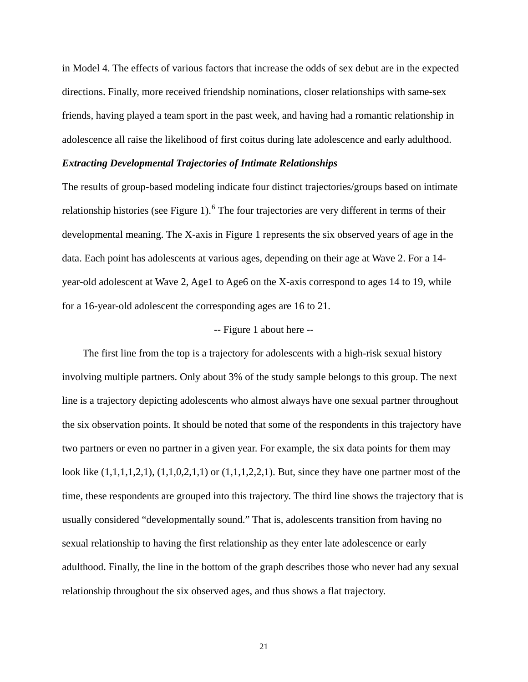in Model 4. The effects of various factors that increase the odds of sex debut are in the expected directions. Finally, more received friendship nominations, closer relationships with same-sex friends, having played a team sport in the past week, and having had a romantic relationship in adolescence all raise the likelihood of first coitus during late adolescence and early adulthood.

#### *Extracting Developmental Trajectories of Intimate Relationships*

The results of group-based modeling indicate four distinct trajectories/groups based on intimate relationship histories (see Figure 1).  $6$  The four trajectories are very different in terms of their developmental meaning. The X-axis in Figure 1 represents the six observed years of age in the data. Each point has adolescents at various ages, depending on their age at Wave 2. For a 14 year-old adolescent at Wave 2, Age1 to Age6 on the X-axis correspond to ages 14 to 19, while for a 16-year-old adolescent the corresponding ages are 16 to 21.

#### -- Figure 1 about here --

The first line from the top is a trajectory for adolescents with a high-risk sexual history involving multiple partners. Only about 3% of the study sample belongs to this group. The next line is a trajectory depicting adolescents who almost always have one sexual partner throughout the six observation points. It should be noted that some of the respondents in this trajectory have two partners or even no partner in a given year. For example, the six data points for them may look like (1,1,1,1,2,1), (1,1,0,2,1,1) or (1,1,1,2,2,1). But, since they have one partner most of the time, these respondents are grouped into this trajectory. The third line shows the trajectory that is usually considered "developmentally sound." That is, adolescents transition from having no sexual relationship to having the first relationship as they enter late adolescence or early adulthood. Finally, the line in the bottom of the graph describes those who never had any sexual relationship throughout the six observed ages, and thus shows a flat trajectory.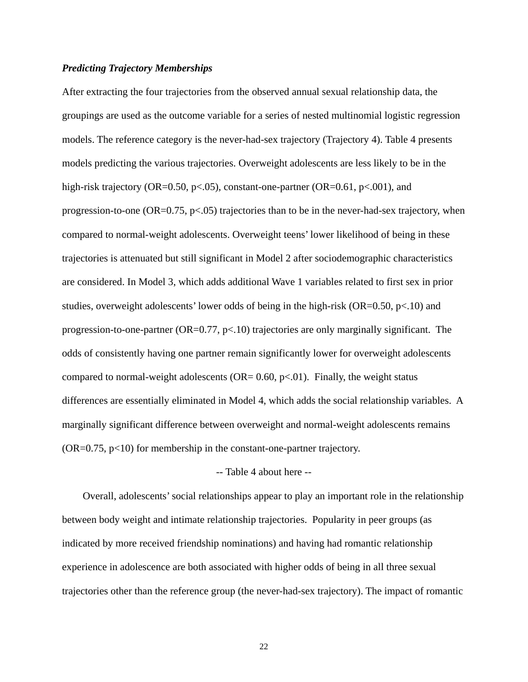### *Predicting Trajectory Memberships*

After extracting the four trajectories from the observed annual sexual relationship data, the groupings are used as the outcome variable for a series of nested multinomial logistic regression models. The reference category is the never-had-sex trajectory (Trajectory 4). Table 4 presents models predicting the various trajectories. Overweight adolescents are less likely to be in the high-risk trajectory (OR=0.50, p<.05), constant-one-partner (OR=0.61, p<.001), and progression-to-one ( $OR=0.75$ ,  $p<.05$ ) trajectories than to be in the never-had-sex trajectory, when compared to normal-weight adolescents. Overweight teens' lower likelihood of being in these trajectories is attenuated but still significant in Model 2 after sociodemographic characteristics are considered. In Model 3, which adds additional Wave 1 variables related to first sex in prior studies, overweight adolescents' lower odds of being in the high-risk ( $OR=0.50$ ,  $p<.10$ ) and progression-to-one-partner ( $OR=0.77$ ,  $p<10$ ) trajectories are only marginally significant. The odds of consistently having one partner remain significantly lower for overweight adolescents compared to normal-weight adolescents (OR=  $0.60$ , p $\lt 0.01$ ). Finally, the weight status differences are essentially eliminated in Model 4, which adds the social relationship variables. A marginally significant difference between overweight and normal-weight adolescents remains  $(OR=0.75, p<10)$  for membership in the constant-one-partner trajectory.

#### -- Table 4 about here --

Overall, adolescents' social relationships appear to play an important role in the relationship between body weight and intimate relationship trajectories. Popularity in peer groups (as indicated by more received friendship nominations) and having had romantic relationship experience in adolescence are both associated with higher odds of being in all three sexual trajectories other than the reference group (the never-had-sex trajectory). The impact of romantic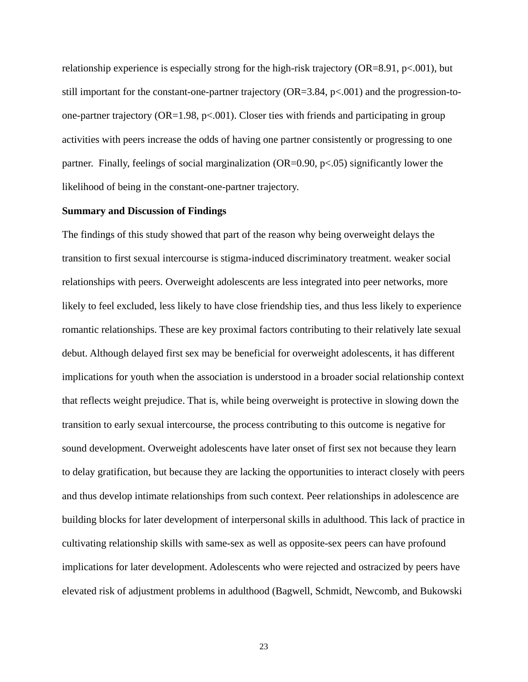relationship experience is especially strong for the high-risk trajectory ( $OR=8.91$ ,  $p<.001$ ), but still important for the constant-one-partner trajectory  $(OR=3.84, p<.001)$  and the progression-toone-partner trajectory ( $OR=1.98$ ,  $p<.001$ ). Closer ties with friends and participating in group activities with peers increase the odds of having one partner consistently or progressing to one partner. Finally, feelings of social marginalization  $(OR=0.90, p<.05)$  significantly lower the likelihood of being in the constant-one-partner trajectory.

#### **Summary and Discussion of Findings**

The findings of this study showed that part of the reason why being overweight delays the transition to first sexual intercourse is stigma-induced discriminatory treatment. weaker social relationships with peers. Overweight adolescents are less integrated into peer networks, more likely to feel excluded, less likely to have close friendship ties, and thus less likely to experience romantic relationships. These are key proximal factors contributing to their relatively late sexual debut. Although delayed first sex may be beneficial for overweight adolescents, it has different implications for youth when the association is understood in a broader social relationship context that reflects weight prejudice. That is, while being overweight is protective in slowing down the transition to early sexual intercourse, the process contributing to this outcome is negative for sound development. Overweight adolescents have later onset of first sex not because they learn to delay gratification, but because they are lacking the opportunities to interact closely with peers and thus develop intimate relationships from such context. Peer relationships in adolescence are building blocks for later development of interpersonal skills in adulthood. This lack of practice in cultivating relationship skills with same-sex as well as opposite-sex peers can have profound implications for later development. Adolescents who were rejected and ostracized by peers have elevated risk of adjustment problems in adulthood (Bagwell, Schmidt, Newcomb, and Bukowski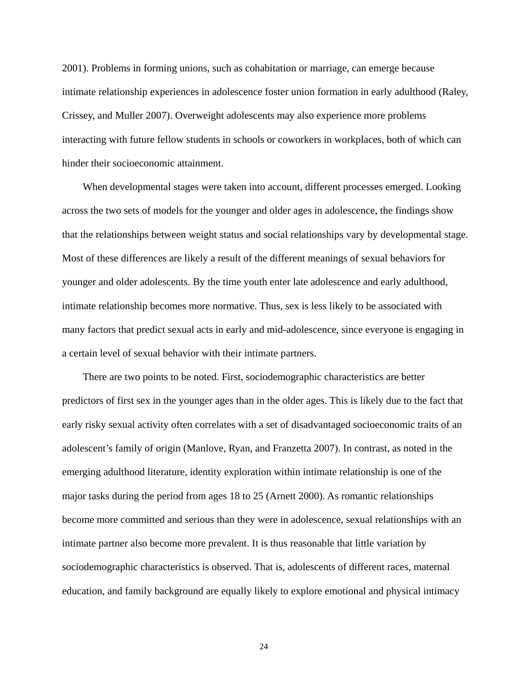2001). Problems in forming unions, such as cohabitation or marriage, can emerge because intimate relationship experiences in adolescence foster union formation in early adulthood (Raley, Crissey, and Muller 2007). Overweight adolescents may also experience more problems interacting with future fellow students in schools or coworkers in workplaces, both of which can hinder their socioeconomic attainment.

When developmental stages were taken into account, different processes emerged. Looking across the two sets of models for the younger and older ages in adolescence, the findings show that the relationships between weight status and social relationships vary by developmental stage. Most of these differences are likely a result of the different meanings of sexual behaviors for younger and older adolescents. By the time youth enter late adolescence and early adulthood, intimate relationship becomes more normative. Thus, sex is less likely to be associated with many factors that predict sexual acts in early and mid-adolescence, since everyone is engaging in a certain level of sexual behavior with their intimate partners.

There are two points to be noted. First, sociodemographic characteristics are better predictors of first sex in the younger ages than in the older ages. This is likely due to the fact that early risky sexual activity often correlates with a set of disadvantaged socioeconomic traits of an adolescent's family of origin (Manlove, Ryan, and Franzetta 2007). In contrast, as noted in the emerging adulthood literature, identity exploration within intimate relationship is one of the major tasks during the period from ages 18 to 25 (Arnett 2000). As romantic relationships become more committed and serious than they were in adolescence, sexual relationships with an intimate partner also become more prevalent. It is thus reasonable that little variation by sociodemographic characteristics is observed. That is, adolescents of different races, maternal education, and family background are equally likely to explore emotional and physical intimacy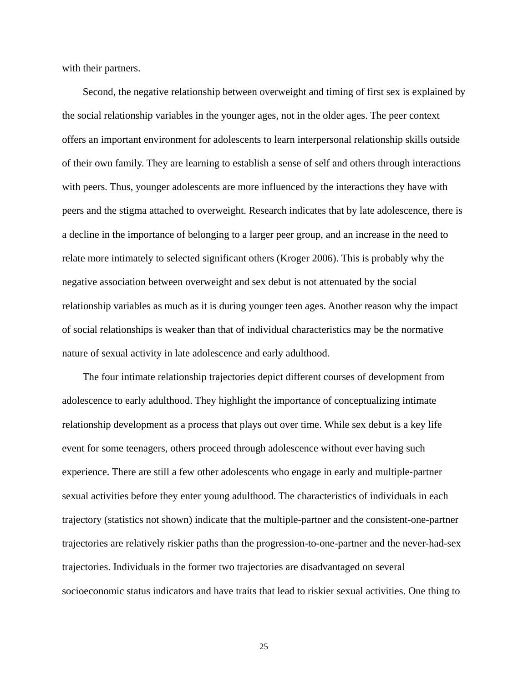with their partners.

Second, the negative relationship between overweight and timing of first sex is explained by the social relationship variables in the younger ages, not in the older ages. The peer context offers an important environment for adolescents to learn interpersonal relationship skills outside of their own family. They are learning to establish a sense of self and others through interactions with peers. Thus, younger adolescents are more influenced by the interactions they have with peers and the stigma attached to overweight. Research indicates that by late adolescence, there is a decline in the importance of belonging to a larger peer group, and an increase in the need to relate more intimately to selected significant others (Kroger 2006). This is probably why the negative association between overweight and sex debut is not attenuated by the social relationship variables as much as it is during younger teen ages. Another reason why the impact of social relationships is weaker than that of individual characteristics may be the normative nature of sexual activity in late adolescence and early adulthood.

The four intimate relationship trajectories depict different courses of development from adolescence to early adulthood. They highlight the importance of conceptualizing intimate relationship development as a process that plays out over time. While sex debut is a key life event for some teenagers, others proceed through adolescence without ever having such experience. There are still a few other adolescents who engage in early and multiple-partner sexual activities before they enter young adulthood. The characteristics of individuals in each trajectory (statistics not shown) indicate that the multiple-partner and the consistent-one-partner trajectories are relatively riskier paths than the progression-to-one-partner and the never-had-sex trajectories. Individuals in the former two trajectories are disadvantaged on several socioeconomic status indicators and have traits that lead to riskier sexual activities. One thing to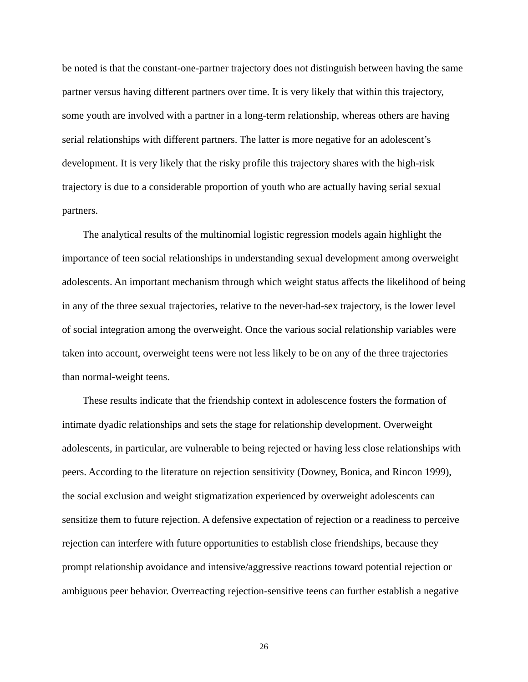be noted is that the constant-one-partner trajectory does not distinguish between having the same partner versus having different partners over time. It is very likely that within this trajectory, some youth are involved with a partner in a long-term relationship, whereas others are having serial relationships with different partners. The latter is more negative for an adolescent's development. It is very likely that the risky profile this trajectory shares with the high-risk trajectory is due to a considerable proportion of youth who are actually having serial sexual partners.

The analytical results of the multinomial logistic regression models again highlight the importance of teen social relationships in understanding sexual development among overweight adolescents. An important mechanism through which weight status affects the likelihood of being in any of the three sexual trajectories, relative to the never-had-sex trajectory, is the lower level of social integration among the overweight. Once the various social relationship variables were taken into account, overweight teens were not less likely to be on any of the three trajectories than normal-weight teens.

These results indicate that the friendship context in adolescence fosters the formation of intimate dyadic relationships and sets the stage for relationship development. Overweight adolescents, in particular, are vulnerable to being rejected or having less close relationships with peers. According to the literature on rejection sensitivity (Downey, Bonica, and Rincon 1999), the social exclusion and weight stigmatization experienced by overweight adolescents can sensitize them to future rejection. A defensive expectation of rejection or a readiness to perceive rejection can interfere with future opportunities to establish close friendships, because they prompt relationship avoidance and intensive/aggressive reactions toward potential rejection or ambiguous peer behavior. Overreacting rejection-sensitive teens can further establish a negative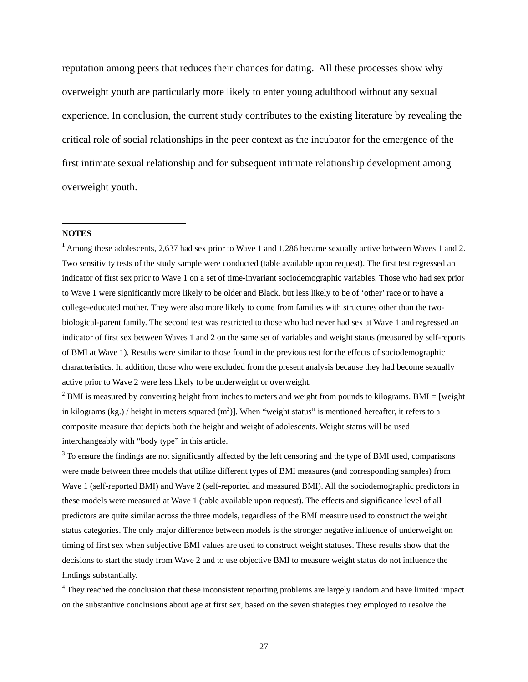<span id="page-28-1"></span>reputation among peers that reduces their chances for dating. All these processes show why overweight youth are particularly more likely to enter young adulthood without any sexual experience. In conclusion, the current study contributes to the existing literature by revealing the critical role of social relationships in the peer context as the incubator for the emergence of the first intimate sexual relationship and for subsequent intimate relationship development among overweight youth.

#### <span id="page-28-0"></span>**NOTES**

 $\overline{a}$ 

<sup>1</sup> Among these adolescents, 2,637 had sex prior to Wave 1 and 1,286 became sexually active between Waves 1 and 2. Two sensitivity tests of the study sample were conducted (table available upon request). The first test regressed an indicator of first sex prior to Wave 1 on a set of time-invariant sociodemographic variables. Those who had sex prior to Wave 1 were significantly more likely to be older and Black, but less likely to be of 'other' race or to have a college-educated mother. They were also more likely to come from families with structures other than the twobiological-parent family. The second test was restricted to those who had never had sex at Wave 1 and regressed an indicator of first sex between Waves 1 and 2 on the same set of variables and weight status (measured by self-reports of BMI at Wave 1). Results were similar to those found in the previous test for the effects of sociodemographic characteristics. In addition, those who were excluded from the present analysis because they had become sexually active prior to Wave 2 were less likely to be underweight or overweight.

 $2$  BMI is measured by converting height from inches to meters and weight from pounds to kilograms. BMI = [weight in kilograms (kg.) / height in meters squared  $(m^2)$ ]. When "weight status" is mentioned hereafter, it refers to a composite measure that depicts both the height and weight of adolescents. Weight status will be used interchangeably with "body type" in this article.

 $3$  To ensure the findings are not significantly affected by the left censoring and the type of BMI used, comparisons were made between three models that utilize different types of BMI measures (and corresponding samples) from Wave 1 (self-reported BMI) and Wave 2 (self-reported and measured BMI). All the sociodemographic predictors in these models were measured at Wave 1 (table available upon request). The effects and significance level of all predictors are quite similar across the three models, regardless of the BMI measure used to construct the weight status categories. The only major difference between models is the stronger negative influence of underweight on timing of first sex when subjective BMI values are used to construct weight statuses. These results show that the decisions to start the study from Wave 2 and to use objective BMI to measure weight status do not influence the findings substantially.

<sup>4</sup> They reached the conclusion that these inconsistent reporting problems are largely random and have limited impact on the substantive conclusions about age at first sex, based on the seven strategies they employed to resolve the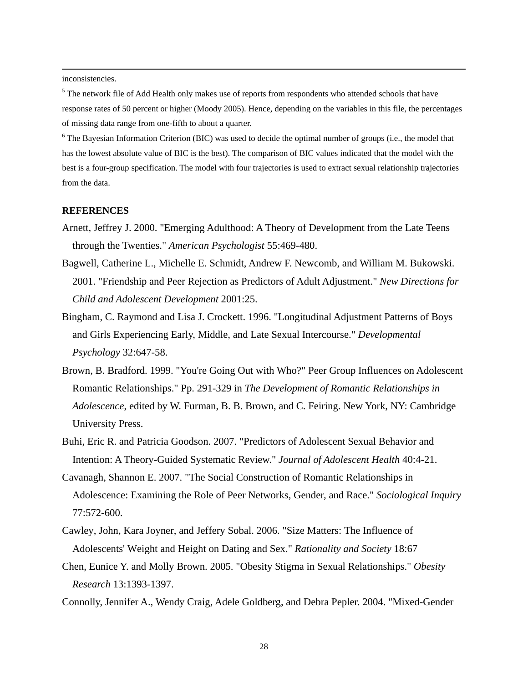<span id="page-29-0"></span>inconsistencies.

<sup>5</sup> The network file of Add Health only makes use of reports from respondents who attended schools that have response rates of 50 percent or higher (Moody 2005). Hence, depending on the variables in this file, the percentages of missing data range from one-fifth to about a quarter.

<sup>6</sup> The Bayesian Information Criterion (BIC) was used to decide the optimal number of groups (i.e., the model that has the lowest absolute value of BIC is the best). The comparison of BIC values indicated that the model with the best is a four-group specification. The model with four trajectories is used to extract sexual relationship trajectories from the data.

#### **REFERENCES**

- Arnett, Jeffrey J. 2000. "Emerging Adulthood: A Theory of Development from the Late Teens through the Twenties." *American Psychologist* 55:469-480.
- Bagwell, Catherine L., Michelle E. Schmidt, Andrew F. Newcomb, and William M. Bukowski. 2001. "Friendship and Peer Rejection as Predictors of Adult Adjustment." *New Directions for Child and Adolescent Development* 2001:25.
- Bingham, C. Raymond and Lisa J. Crockett. 1996. "Longitudinal Adjustment Patterns of Boys and Girls Experiencing Early, Middle, and Late Sexual Intercourse." *Developmental Psychology* 32:647-58.
- Brown, B. Bradford. 1999. "You're Going Out with Who?" Peer Group Influences on Adolescent Romantic Relationships." Pp. 291-329 in *The Development of Romantic Relationships in Adolescence*, edited by W. Furman, B. B. Brown, and C. Feiring. New York, NY: Cambridge University Press.
- Buhi, Eric R. and Patricia Goodson. 2007. "Predictors of Adolescent Sexual Behavior and Intention: A Theory-Guided Systematic Review." *Journal of Adolescent Health* 40:4-21.
- Cavanagh, Shannon E. 2007. "The Social Construction of Romantic Relationships in Adolescence: Examining the Role of Peer Networks, Gender, and Race." *Sociological Inquiry* 77:572-600.
- Cawley, John, Kara Joyner, and Jeffery Sobal. 2006. "Size Matters: The Influence of Adolescents' Weight and Height on Dating and Sex." *Rationality and Society* 18:67
- Chen, Eunice Y. and Molly Brown. 2005. "Obesity Stigma in Sexual Relationships." *Obesity Research* 13:1393-1397.
- Connolly, Jennifer A., Wendy Craig, Adele Goldberg, and Debra Pepler. 2004. "Mixed-Gender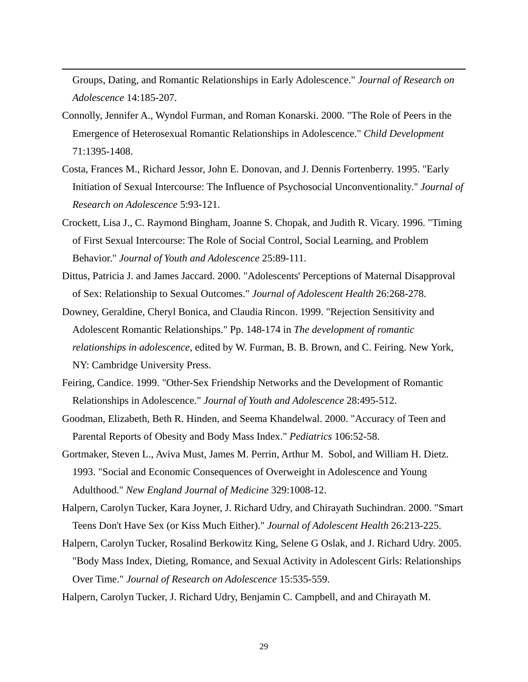Groups, Dating, and Romantic Relationships in Early Adolescence." *Journal of Research on Adolescence* 14:185-207.

- Connolly, Jennifer A., Wyndol Furman, and Roman Konarski. 2000. "The Role of Peers in the Emergence of Heterosexual Romantic Relationships in Adolescence." *Child Development* 71:1395-1408.
- Costa, Frances M., Richard Jessor, John E. Donovan, and J. Dennis Fortenberry. 1995. "Early Initiation of Sexual Intercourse: The Influence of Psychosocial Unconventionality." *Journal of Research on Adolescence* 5:93-121.
- Crockett, Lisa J., C. Raymond Bingham, Joanne S. Chopak, and Judith R. Vicary. 1996. "Timing of First Sexual Intercourse: The Role of Social Control, Social Learning, and Problem Behavior." *Journal of Youth and Adolescence* 25:89-111.
- Dittus, Patricia J. and James Jaccard. 2000. "Adolescents' Perceptions of Maternal Disapproval of Sex: Relationship to Sexual Outcomes." *Journal of Adolescent Health* 26:268-278.
- Downey, Geraldine, Cheryl Bonica, and Claudia Rincon. 1999. "Rejection Sensitivity and Adolescent Romantic Relationships." Pp. 148-174 in *The development of romantic relationships in adolescence*, edited by W. Furman, B. B. Brown, and C. Feiring. New York, NY: Cambridge University Press.
- Feiring, Candice. 1999. "Other-Sex Friendship Networks and the Development of Romantic Relationships in Adolescence." *Journal of Youth and Adolescence* 28:495-512.
- Goodman, Elizabeth, Beth R. Hinden, and Seema Khandelwal. 2000. "Accuracy of Teen and Parental Reports of Obesity and Body Mass Index." *Pediatrics* 106:52-58.
- Gortmaker, Steven L., Aviva Must, James M. Perrin, Arthur M. Sobol, and William H. Dietz. 1993. "Social and Economic Consequences of Overweight in Adolescence and Young Adulthood." *New England Journal of Medicine* 329:1008-12.
- Halpern, Carolyn Tucker, Kara Joyner, J. Richard Udry, and Chirayath Suchindran. 2000. "Smart Teens Don't Have Sex (or Kiss Much Either)." *Journal of Adolescent Health* 26:213-225.
- Halpern, Carolyn Tucker, Rosalind Berkowitz King, Selene G Oslak, and J. Richard Udry. 2005. "Body Mass Index, Dieting, Romance, and Sexual Activity in Adolescent Girls: Relationships Over Time." *Journal of Research on Adolescence* 15:535-559.
- Halpern, Carolyn Tucker, J. Richard Udry, Benjamin C. Campbell, and and Chirayath M.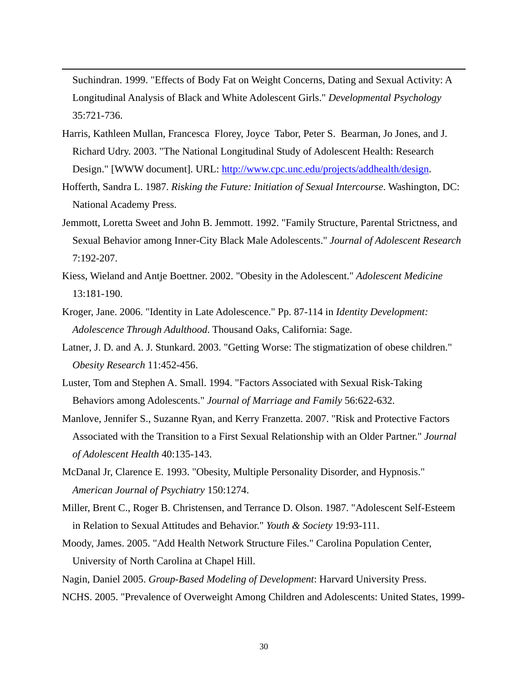Suchindran. 1999. "Effects of Body Fat on Weight Concerns, Dating and Sexual Activity: A Longitudinal Analysis of Black and White Adolescent Girls." *Developmental Psychology* 35:721-736.

- Harris, Kathleen Mullan, Francesca Florey, Joyce Tabor, Peter S. Bearman, Jo Jones, and J. Richard Udry. 2003. "The National Longitudinal Study of Adolescent Health: Research Design." [WWW document]. URL:<http://www.cpc.unc.edu/projects/addhealth/design>.
- Hofferth, Sandra L. 1987. *Risking the Future: Initiation of Sexual Intercourse*. Washington, DC: National Academy Press.
- Jemmott, Loretta Sweet and John B. Jemmott. 1992. "Family Structure, Parental Strictness, and Sexual Behavior among Inner-City Black Male Adolescents." *Journal of Adolescent Research* 7:192-207.
- Kiess, Wieland and Antje Boettner. 2002. "Obesity in the Adolescent." *Adolescent Medicine* 13:181-190.
- Kroger, Jane. 2006. "Identity in Late Adolescence." Pp. 87-114 in *Identity Development: Adolescence Through Adulthood*. Thousand Oaks, California: Sage.
- Latner, J. D. and A. J. Stunkard. 2003. "Getting Worse: The stigmatization of obese children." *Obesity Research* 11:452-456.
- Luster, Tom and Stephen A. Small. 1994. "Factors Associated with Sexual Risk-Taking Behaviors among Adolescents." *Journal of Marriage and Family* 56:622-632.
- Manlove, Jennifer S., Suzanne Ryan, and Kerry Franzetta. 2007. "Risk and Protective Factors Associated with the Transition to a First Sexual Relationship with an Older Partner." *Journal of Adolescent Health* 40:135-143.
- McDanal Jr, Clarence E. 1993. "Obesity, Multiple Personality Disorder, and Hypnosis." *American Journal of Psychiatry* 150:1274.
- Miller, Brent C., Roger B. Christensen, and Terrance D. Olson. 1987. "Adolescent Self-Esteem in Relation to Sexual Attitudes and Behavior." *Youth & Society* 19:93-111.
- Moody, James. 2005. "Add Health Network Structure Files." Carolina Population Center, University of North Carolina at Chapel Hill.
- Nagin, Daniel 2005. *Group-Based Modeling of Development*: Harvard University Press.
- NCHS. 2005. "Prevalence of Overweight Among Children and Adolescents: United States, 1999-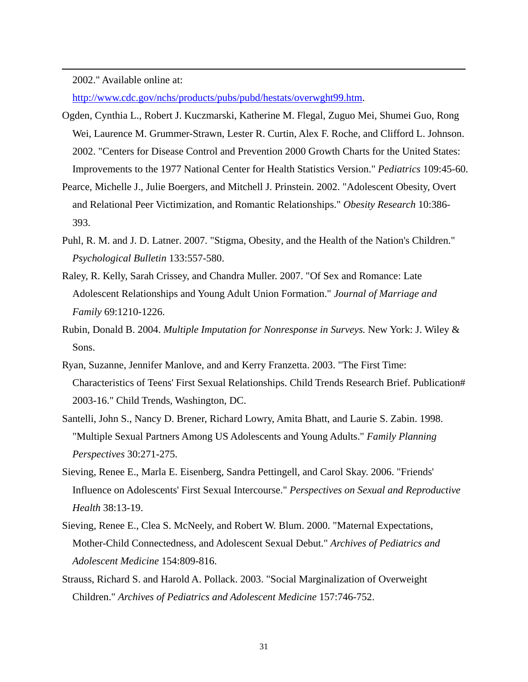2002." Available online at:

 $\overline{a}$ 

<http://www.cdc.gov/nchs/products/pubs/pubd/hestats/overwght99.htm>.

- Ogden, Cynthia L., Robert J. Kuczmarski, Katherine M. Flegal, Zuguo Mei, Shumei Guo, Rong Wei, Laurence M. Grummer-Strawn, Lester R. Curtin, Alex F. Roche, and Clifford L. Johnson. 2002. "Centers for Disease Control and Prevention 2000 Growth Charts for the United States: Improvements to the 1977 National Center for Health Statistics Version." *Pediatrics* 109:45-60.
- Pearce, Michelle J., Julie Boergers, and Mitchell J. Prinstein. 2002. "Adolescent Obesity, Overt and Relational Peer Victimization, and Romantic Relationships." *Obesity Research* 10:386- 393.
- Puhl, R. M. and J. D. Latner. 2007. "Stigma, Obesity, and the Health of the Nation's Children." *Psychological Bulletin* 133:557-580.
- Raley, R. Kelly, Sarah Crissey, and Chandra Muller. 2007. "Of Sex and Romance: Late Adolescent Relationships and Young Adult Union Formation." *Journal of Marriage and Family* 69:1210-1226.
- Rubin, Donald B. 2004. *Multiple Imputation for Nonresponse in Surveys.* New York: J. Wiley & Sons.
- Ryan, Suzanne, Jennifer Manlove, and and Kerry Franzetta. 2003. "The First Time: Characteristics of Teens' First Sexual Relationships. Child Trends Research Brief. Publication# 2003-16." Child Trends, Washington, DC.
- Santelli, John S., Nancy D. Brener, Richard Lowry, Amita Bhatt, and Laurie S. Zabin. 1998. "Multiple Sexual Partners Among US Adolescents and Young Adults." *Family Planning Perspectives* 30:271-275.
- Sieving, Renee E., Marla E. Eisenberg, Sandra Pettingell, and Carol Skay. 2006. "Friends' Influence on Adolescents' First Sexual Intercourse." *Perspectives on Sexual and Reproductive Health* 38:13-19.
- Sieving, Renee E., Clea S. McNeely, and Robert W. Blum. 2000. "Maternal Expectations, Mother-Child Connectedness, and Adolescent Sexual Debut." *Archives of Pediatrics and Adolescent Medicine* 154:809-816.
- Strauss, Richard S. and Harold A. Pollack. 2003. "Social Marginalization of Overweight Children." *Archives of Pediatrics and Adolescent Medicine* 157:746-752.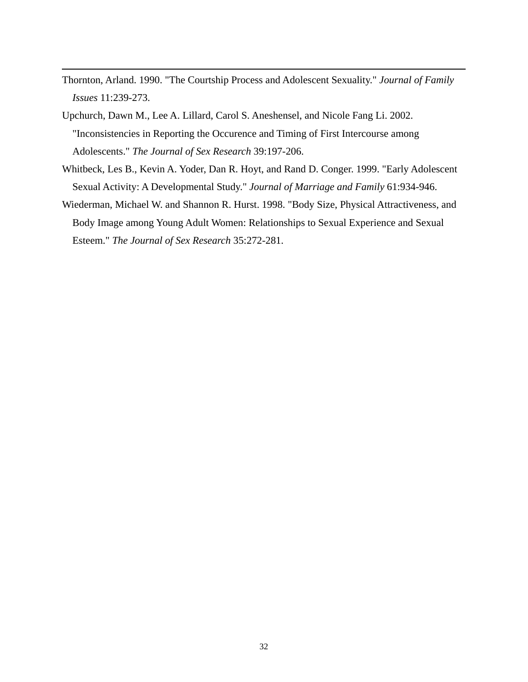- Thornton, Arland. 1990. "The Courtship Process and Adolescent Sexuality." *Journal of Family Issues* 11:239-273.
- Upchurch, Dawn M., Lee A. Lillard, Carol S. Aneshensel, and Nicole Fang Li. 2002. "Inconsistencies in Reporting the Occurence and Timing of First Intercourse among Adolescents." *The Journal of Sex Research* 39:197-206.

- Whitbeck, Les B., Kevin A. Yoder, Dan R. Hoyt, and Rand D. Conger. 1999. "Early Adolescent Sexual Activity: A Developmental Study." *Journal of Marriage and Family* 61:934-946.
- Wiederman, Michael W. and Shannon R. Hurst. 1998. "Body Size, Physical Attractiveness, and Body Image among Young Adult Women: Relationships to Sexual Experience and Sexual Esteem." *The Journal of Sex Research* 35:272-281.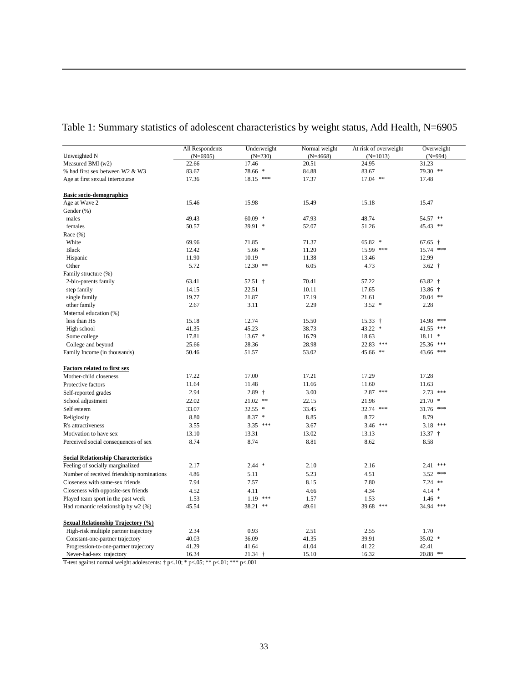|                                            | All Respondents | Underweight | Normal weight | At risk of overweight | Overweight       |
|--------------------------------------------|-----------------|-------------|---------------|-----------------------|------------------|
| Unweighted N                               | $(N=6905)$      | $(N=230)$   | $(N=4668)$    | $(N=1013)$            | $(N=994)$        |
| Measured BMI (w2)                          | 22.66           | 17.46       | 20.51         | 24.95                 | 31.23            |
| % had first sex between W2 & W3            | 83.67           | 78.66 *     | 84.88         | 83.67                 | 79.30 **         |
| Age at first sexual intercourse            | 17.36           | 18.15 ***   | 17.37         | 17.04 **              | 17.48            |
| <b>Basic socio-demographics</b>            |                 |             |               |                       |                  |
| Age at Wave 2                              | 15.46           | 15.98       | 15.49         | 15.18                 | 15.47            |
| Gender (%)                                 |                 |             |               |                       |                  |
| males                                      | 49.43           | $60.09$ *   | 47.93         | 48.74                 | 54.57 **         |
| females                                    | 50.57           | 39.91 *     | 52.07         | 51.26                 | 45.43 **         |
| Race $(\% )$                               |                 |             |               |                       |                  |
| White                                      | 69.96           | 71.85       | 71.37         | 65.82 *               | $67.65$ †        |
| <b>Black</b>                               | 12.42           | $5.66*$     | 11.20         | 15.99 ***             | 15.74 ***        |
| Hispanic                                   | 11.90           | 10.19       | 11.38         | 13.46                 | 12.99            |
| Other                                      | 5.72            | $12.30$ **  | 6.05          | 4.73                  | $3.62 +$         |
| Family structure (%)                       |                 |             |               |                       |                  |
| 2-bio-parents family                       | 63.41           | $52.51$ †   | 70.41         | 57.22                 | $63.82$ †        |
| step family                                | 14.15           | 22.51       | 10.11         | 17.65                 | $13.86$ †        |
| single family                              | 19.77           | 21.87       | 17.19         | 21.61                 | 20.04 **         |
| other family                               | 2.67            | 3.11        | 2.29          | $3.52$ *              | 2.28             |
| Maternal education (%)                     |                 |             |               |                       |                  |
| less than HS                               | 15.18           | 12.74       | 15.50         | $15.33 +$             | 14.98 ***        |
| High school                                | 41.35           | 45.23       | 38.73         | $43.22$ *             | ***<br>41.55     |
| Some college                               | 17.81           | $13.67$ *   | 16.79         | 18.63                 | $\ast$<br>18.11  |
| College and beyond                         | 25.66           | 28.36       | 28.98         | 22.83 ***             | $* * *$<br>25.36 |
| Family Income (in thousands)               | 50.46           | 51.57       | 53.02         | 45.66 **              | 43.66 ***        |
| <b>Factors related to first sex</b>        |                 |             |               |                       |                  |
| Mother-child closeness                     | 17.22           | 17.00       | 17.21         | 17.29                 | 17.28            |
| Protective factors                         | 11.64           | 11.48       | 11.66         | 11.60                 | 11.63            |
| Self-reported grades                       | 2.94            | $2.89 +$    | 3.00          | 2.87 ***              | $2.73$ ***       |
| School adjustment                          | 22.02           | $21.02$ **  | 22.15         | 21.96                 | $\ast$<br>21.70  |
| Self esteem                                | 33.07           | $32.55$ *   | 33.45         | ***<br>32.74          | 31.76 ***        |
| Religiosity                                | 8.80            | $8.37*$     | 8.85          | 8.72                  | 8.79             |
| R's attractiveness                         | 3.55            | $3.35$ ***  | 3.67          | $3.46$ ***            | $3.18$ ***       |
| Motivation to have sex                     | 13.10           | 13.31       | 13.02         | 13.13                 | $13.37 +$        |
| Perceived social consequences of sex       | 8.74            | 8.74        | 8.81          | 8.62                  | 8.58             |
| <b>Social Relationship Characteristics</b> |                 |             |               |                       |                  |
| Feeling of socially marginalized           | 2.17            | $2.44$ *    | 2.10          | 2.16                  | $***$<br>2.41    |
| Number of received friendship nominations  | 4.86            | 5.11        | 5.23          | 4.51                  | $3.52$ ***       |
| Closeness with same-sex friends            | 7.94            | 7.57        | 8.15          | 7.80                  | $7.24$ **        |
| Closeness with opposite-sex friends        | 4.52            | 4.11        | 4.66          | 4.34                  | 4.14<br>$\ast$   |
| Played team sport in the past week         | 1.53            | $1.19$ ***  | 1.57          | 1.53                  | $1.46*$          |
| Had romantic relationship by w2 (%)        | 45.54           | 38.21 **    | 49.61         | 39.68<br>***          | 34.94 ***        |
| <b>Sexual Relationship Trajectory (%)</b>  |                 |             |               |                       |                  |
| High-risk multiple partner trajectory      | 2.34            | 0.93        | 2.51          | 2.55                  | 1.70             |
| Constant-one-partner trajectory            | 40.03           | 36.09       | 41.35         | 39.91                 | $35.02$ *        |
| Progression-to-one-partner trajectory      | 41.29           | 41.64       | 41.04         | 41.22                 | 42.41            |
| Never-had-sex trajectory                   | 16.34           | $21.34$ †   | 15.10         | 16.32                 | 20.88 **         |

Table 1: Summary statistics of adolescent characteristics by weight status, Add Health, N=6905

T-test against normal weight adolescents: † p<.10; \* p<.05; \*\* p<.01; \*\*\* p<.001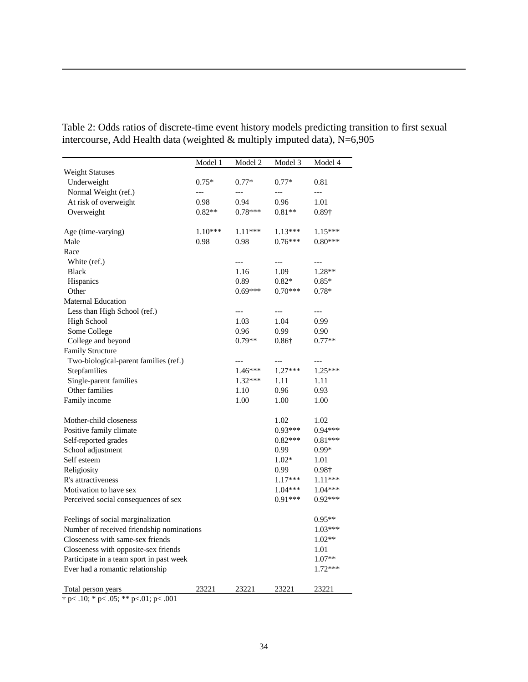|                                           | Model 1   | Model 2   | Model 3       | Model 4       |
|-------------------------------------------|-----------|-----------|---------------|---------------|
| <b>Weight Statuses</b>                    |           |           |               |               |
| Underweight                               | $0.75*$   | $0.77*$   | $0.77*$       | 0.81          |
| Normal Weight (ref.)                      | $---$     | ---       | $---$         | $---$         |
| At risk of overweight                     | 0.98      | 0.94      | 0.96          | 1.01          |
| Overweight                                | $0.82**$  | $0.78***$ | $0.81**$      | $0.89\dagger$ |
|                                           |           |           |               |               |
| Age (time-varying)                        | $1.10***$ | $1.11***$ | $1.13***$     | $1.15***$     |
| Male                                      | 0.98      | 0.98      | $0.76***$     | $0.80***$     |
| Race                                      |           |           |               |               |
| White (ref.)                              |           | $---$     | $---$         | ---           |
| <b>Black</b>                              |           | 1.16      | 1.09          | $1.28**$      |
| Hispanics                                 |           | 0.89      | $0.82*$       | $0.85*$       |
| Other                                     |           | $0.69***$ | $0.70***$     | $0.78*$       |
| Maternal Education                        |           |           |               |               |
| Less than High School (ref.)              |           |           | ---           |               |
| <b>High School</b>                        |           | 1.03      | 1.04          | 0.99          |
| Some College                              |           | 0.96      | 0.99          | 0.90          |
| College and beyond                        |           | $0.79**$  | $0.86\dagger$ | $0.77**$      |
| <b>Family Structure</b>                   |           |           |               |               |
| Two-biological-parent families (ref.)     |           |           |               |               |
| Stepfamilies                              |           | $1.46***$ | $1.27***$     | $1.25***$     |
| Single-parent families                    |           | $1.32***$ | 1.11          | 1.11          |
| Other families                            |           | 1.10      | 0.96          | 0.93          |
| Family income                             |           | 1.00      | 1.00          | 1.00          |
| Mother-child closeness                    |           |           | 1.02          | 1.02          |
| Positive family climate                   |           |           | $0.93***$     | $0.94***$     |
| Self-reported grades                      |           |           | $0.82***$     | $0.81***$     |
| School adjustment                         |           |           | 0.99          | $0.99*$       |
| Self esteem                               |           |           | $1.02*$       | 1.01          |
| Religiosity                               |           |           | 0.99          | 0.98†         |
| R's attractiveness                        |           |           | $1.17***$     | 1.11***       |
| Motivation to have sex                    |           |           | 1.04***       | $1.04***$     |
| Perceived social consequences of sex      |           |           | $0.91***$     | $0.92***$     |
|                                           |           |           |               |               |
| Feelings of social marginalization        |           |           |               | $0.95**$      |
| Number of received friendship nominations |           |           |               | $1.03***$     |
| Closeeness with same-sex friends          |           |           |               | $1.02**$      |
| Closeeness with opposite-sex friends      |           |           | 1.01          |               |
| Participate in a team sport in past week  |           |           | $1.07**$      |               |
| Ever had a romantic relationship          |           |           |               | $1.72***$     |
| Total person years                        | 23221     | 23221     | 23221         | 23221         |

Table 2: Odds ratios of discrete-time event history models predicting transition to first sexual intercourse, Add Health data (weighted  $&$  multiply imputed data), N=6,905

 $\dagger$  p< .10; \* p< .05; \*\* p<.01; p< .001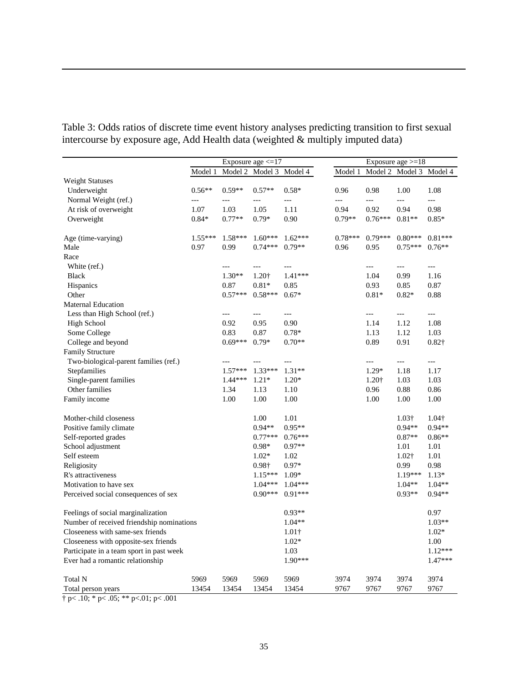|                                           |           | Exposure age $\leq 17$ |           |               |                | Exposure $age = 18$ |                     |                       |  |
|-------------------------------------------|-----------|------------------------|-----------|---------------|----------------|---------------------|---------------------|-----------------------|--|
|                                           | Model 1   | Model 2                | Model 3   | Model 4       | Model 1        |                     | Model 2 Model 3     | Model 4               |  |
| <b>Weight Statuses</b>                    |           |                        |           |               |                |                     |                     |                       |  |
| Underweight                               | $0.56**$  | $0.59**$               | $0.57**$  | $0.58*$       | 0.96           | 0.98                | 1.00                | 1.08                  |  |
| Normal Weight (ref.)                      | ---       | ---                    | ---       | $---$         | $\overline{a}$ | $\overline{a}$      | $\overline{a}$      | $\overline{a}$        |  |
| At risk of overweight                     | 1.07      | 1.03                   | 1.05      | 1.11          | 0.94           | 0.92                | 0.94                | 0.98                  |  |
| Overweight                                | $0.84*$   | $0.77**$               | $0.79*$   | 0.90          | $0.79**$       | $0.76***$           | $0.81**$            | $0.85*$               |  |
| Age (time-varying)                        | $1.55***$ | $1.58***$              | $1.60***$ | $1.62***$     | $0.78***$      | $0.79***$           | $0.80***$           | $0.81***$             |  |
| Male                                      | 0.97      | 0.99                   | $0.74***$ | $0.79**$      | 0.96           | 0.95                | $0.75***$           | $0.76**$              |  |
| Race                                      |           |                        |           |               |                |                     |                     |                       |  |
| White (ref.)                              |           | ---                    | $---$     | $---$         |                | $---$               | $\overline{a}$      | $\qquad \qquad - -$   |  |
| <b>Black</b>                              |           | $1.30**$               | 1.20†     | 1.41***       |                | 1.04                | 0.99                | 1.16                  |  |
| <b>Hispanics</b>                          |           | 0.87                   | $0.81*$   | 0.85          |                | 0.93                | 0.85                | 0.87                  |  |
| Other                                     |           | $0.57***$              | $0.58***$ | $0.67*$       |                | $0.81*$             | $0.82*$             | 0.88                  |  |
| <b>Maternal Education</b>                 |           |                        |           |               |                |                     |                     |                       |  |
| Less than High School (ref.)              |           | ---                    | $---$     | $---$         |                | $---$               | $\qquad \qquad - -$ | $\scriptstyle \cdots$ |  |
| <b>High School</b>                        |           | 0.92                   | 0.95      | 0.90          |                | 1.14                | 1.12                | 1.08                  |  |
| Some College                              |           | 0.83                   | 0.87      | $0.78*$       |                | 1.13                | 1.12                | 1.03                  |  |
| College and beyond                        |           | $0.69***$              | $0.79*$   | $0.70**$      |                | 0.89                | 0.91                | $0.82\dagger$         |  |
| Family Structure                          |           |                        |           |               |                |                     |                     |                       |  |
| Two-biological-parent families (ref.)     |           |                        |           | $---$         |                | ---                 | $---$               | $---$                 |  |
| Stepfamilies                              |           | $1.57***$              | $1.33***$ | $1.31**$      |                | $1.29*$             | 1.18                | 1.17                  |  |
| Single-parent families                    |           | $1.44***$              | $1.21*$   | $1.20*$       |                | 1.20+               | 1.03                | 1.03                  |  |
| Other families                            |           | 1.34                   | 1.13      | 1.10          |                | 0.96                | 0.88                | 0.86                  |  |
| Family income                             |           | 1.00                   | 1.00      | 1.00          |                | 1.00                | 1.00                | 1.00                  |  |
| Mother-child closeness                    |           |                        | 1.00      | 1.01          |                |                     | 1.03†               | 1.04†                 |  |
| Positive family climate                   |           |                        | $0.94**$  | $0.95**$      |                |                     | $0.94**$            | $0.94**$              |  |
| Self-reported grades                      |           |                        | $0.77***$ | $0.76***$     |                |                     | $0.87**$            | $0.86**$              |  |
| School adjustment                         |           |                        | $0.98*$   | $0.97**$      |                |                     | 1.01                | 1.01                  |  |
| Self esteem                               |           |                        | $1.02*$   | 1.02          |                |                     | 1.02†               | 1.01                  |  |
| Religiosity                               |           |                        | 0.98†     | $0.97*$       |                |                     | 0.99                | 0.98                  |  |
| R's attractiveness                        |           |                        | $1.15***$ | $1.09*$       |                |                     | $1.19***$           | $1.13*$               |  |
| Motivation to have sex                    |           |                        | $1.04***$ | $1.04***$     |                |                     | $1.04**$            | $1.04**$              |  |
| Perceived social consequences of sex      |           |                        | $0.90***$ | $0.91***$     |                |                     | $0.93**$            | $0.94**$              |  |
| Feelings of social marginalization        |           |                        |           | $0.93**$      |                |                     |                     | 0.97                  |  |
| Number of received friendship nominations |           |                        |           | $1.04**$      |                |                     |                     | $1.03**$              |  |
| Closeeness with same-sex friends          |           |                        |           | $1.01\dagger$ |                |                     |                     | $1.02*$               |  |
| Closeeness with opposite-sex friends      |           |                        |           | $1.02*$       |                |                     |                     | 1.00                  |  |
| Participate in a team sport in past week  |           |                        |           | 1.03          |                |                     |                     | 1.12***               |  |
| Ever had a romantic relationship          |           |                        |           | $1.90***$     |                |                     |                     | 1.47***               |  |
| <b>Total N</b>                            | 5969      | 5969                   | 5969      | 5969          | 3974           | 3974                | 3974                | 3974                  |  |
| Total person years                        | 13454     | 13454                  | 13454     | 13454         | 9767           | 9767                | 9767                | 9767                  |  |

Table 3: Odds ratios of discrete time event history analyses predicting transition to first sexual intercourse by exposure age, Add Health data (weighted & multiply imputed data)

 $\frac{1}{\text{# p} < .10; \cdot \text{# p} < .05; \cdot \text{# p} < .01; \text{ p} < .001}$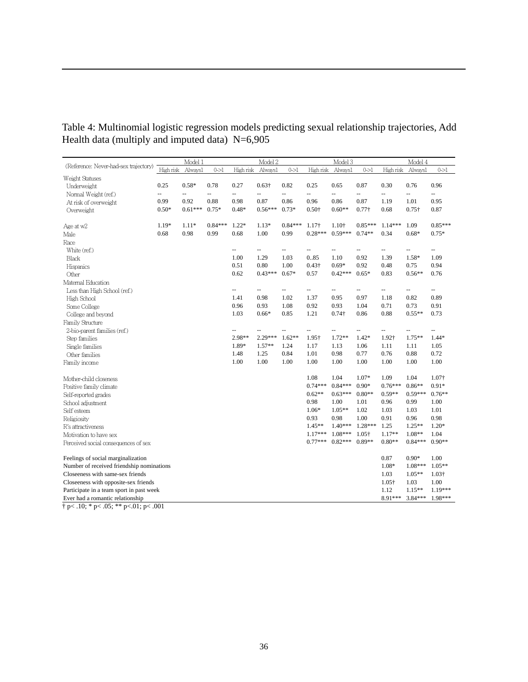| Table 4: Multinomial logistic regression models predicting sexual relationship trajectories, Add |  |  |  |  |
|--------------------------------------------------------------------------------------------------|--|--|--|--|
| Health data (multiply and imputed data) $N=6,905$                                                |  |  |  |  |

|                                           | Model 1   |           | Model 2   |           |               | Model 3                  |                          |                          | Model 4                  |                          |                          |                          |
|-------------------------------------------|-----------|-----------|-----------|-----------|---------------|--------------------------|--------------------------|--------------------------|--------------------------|--------------------------|--------------------------|--------------------------|
| (Reference: Never-had-sex trajectory)     | High risk | Always1   | $0 - > 1$ | High risk | Always1       | $0 - > 1$                | High risk                | Always1                  | $0 - > 1$                | High risk                | Always1                  | $0 - > 1$                |
| Weight Statuses                           |           |           |           |           |               |                          |                          |                          |                          |                          |                          |                          |
| Underweight                               | 0.25      | $0.58*$   | 0.78      | 0.27      | $0.63\dagger$ | 0.82                     | 0.25                     | 0.65                     | 0.87                     | 0.30                     | 0.76                     | 0.96                     |
| Normal Weight (ref.)                      | --        | --        | $-1$      | --        | --            | --                       | $\overline{\phantom{a}}$ | $\overline{\phantom{a}}$ | $\overline{\phantom{a}}$ | $\overline{\phantom{a}}$ | $\overline{\phantom{a}}$ | $\overline{\phantom{a}}$ |
| At risk of overweight                     | 0.99      | 0.92      | 0.88      | 0.98      | 0.87          | 0.86                     | 0.96                     | 0.86                     | 0.87                     | 1.19                     | 1.01                     | 0.95                     |
| Overweight                                | $0.50*$   | $0.61***$ | $0.75*$   | $0.48*$   | $0.56***$     | $0.73*$                  | $0.50\dagger$            | $0.60**$                 | $0.77\dagger$            | 0.68                     | $0.75\dagger$            | 0.87                     |
| Age at w2                                 | $1.19*$   | $1.11*$   | $0.84***$ | $1.22*$   | $1.13*$       | $0.84***$                | $1.17\dagger$            | 1.10+                    | $0.85***$                | $1.14***$                | 1.09                     | $0.85***$                |
| Male                                      | 0.68      | 0.98      | 0.99      | 0.68      | 1.00          | 0.99                     | $0.28***$                | $0.59***$                | $0.74**$                 | 0.34                     | $0.68*$                  | $0.75*$                  |
| Race                                      |           |           |           |           |               |                          |                          |                          |                          |                          |                          |                          |
| White (ref.)                              |           |           |           | -−        | --            | --                       | $\overline{\phantom{a}}$ | $\overline{a}$           | $\overline{\phantom{a}}$ | --                       | $\overline{a}$           | $\overline{\phantom{a}}$ |
| <b>Black</b>                              |           |           |           | 1.00      | 1.29          | 1.03                     | 0.85                     | 1.10                     | 0.92                     | 1.39                     | $1.58*$                  | 1.09                     |
| Hispanics                                 |           |           |           | 0.51      | 0.80          | 1.00                     | $0.43\dagger$            | $0.69*$                  | 0.92                     | 0.48                     | 0.75                     | 0.94                     |
| Other                                     |           |           |           | 0.62      | $0.43***$     | $0.67*$                  | 0.57                     | $0.42***$                | $0.65*$                  | 0.83                     | $0.56**$                 | 0.76                     |
| Maternal Education                        |           |           |           |           |               |                          |                          |                          |                          |                          |                          |                          |
| Less than High School (ref.)              |           |           |           | Ш,        | Ш,            | $\overline{\phantom{a}}$ | Ξ.                       | $\mathbf{u}$             | $\overline{\phantom{a}}$ | Ξ.                       | Ξ.                       | $\overline{\phantom{a}}$ |
| High School                               |           |           |           | 1.41      | 0.98          | 1.02                     | 1.37                     | 0.95                     | 0.97                     | 1.18                     | 0.82                     | 0.89                     |
| Some College                              |           |           |           | 0.96      | 0.93          | 1.08                     | 0.92                     | 0.93                     | 1.04                     | 0.71                     | 0.73                     | 0.91                     |
| College and beyond                        |           |           |           | 1.03      | $0.66*$       | 0.85                     | 1.21                     | $0.74\dagger$            | 0.86                     | 0.88                     | $0.55**$                 | 0.73                     |
| Family Structure                          |           |           |           |           |               |                          |                          |                          |                          |                          |                          |                          |
| 2-bio-parent families (ref.)              |           |           |           | -−        | -−            | --                       | $\overline{\phantom{a}}$ | $\overline{\phantom{a}}$ | $\overline{\phantom{a}}$ | $\overline{\phantom{a}}$ | $\overline{a}$           |                          |
| Step families                             |           |           |           | 2.98**    | $2.29***$     | $1.62**$                 | 1.95+                    | $1.72**$                 | $1.42*$                  | 1.92†                    | $1.75**$                 | $1.44*$                  |
| Single families                           |           |           |           | 1.89*     | $1.57**$      | 1.24                     | 1.17                     | 1.13                     | 1.06                     | 1.11                     | 1.11                     | 1.05                     |
| Other families                            |           |           |           | 1.48      | 1.25          | 0.84                     | 1.01                     | 0.98                     | 0.77                     | 0.76                     | 0.88                     | 0.72                     |
| Family income                             |           |           |           | 1.00      | 1.00          | 1.00                     | 1.00                     | 1.00                     | 1.00                     | 1.00                     | 1.00                     | 1.00                     |
| Mother-child closeness                    |           |           |           |           |               |                          | 1.08                     | 1.04                     | $1.07*$                  | 1.09                     | 1.04                     | 1.07†                    |
| Positive family climate                   |           |           |           |           |               |                          | $0.74***$                | $0.84***$                | $0.90*$                  | $0.76***$                | $0.86**$                 | $0.91*$                  |
| Self-reported grades                      |           |           |           |           |               |                          | $0.62**$                 | $0.63***$                | $0.80**$                 | $0.59**$                 | $0.59***$                | $0.76**$                 |
| School adjustment                         |           |           |           |           |               |                          | 0.98                     | 1.00                     | 1.01                     | 0.96                     | 0.99                     | 1.00                     |
| Self esteem                               |           |           |           |           |               |                          | $1.06*$                  | $1.05**$                 | 1.02                     | 1.03                     | 1.03                     | 1.01                     |
| Religiosity                               |           |           |           |           |               |                          | 0.93                     | 0.98                     | 1.00                     | 0.91                     | 0.96                     | 0.98                     |
| R's attractiveness                        |           |           |           |           |               |                          | $1.45**$                 | $1.40***$                | $1.28***$                | 1.25                     | $1.25**$                 | $1.20*$                  |
| Motivation to have sex                    |           |           |           |           |               |                          | $1.17***$                | $1.08***$                | $1.05\dagger$            | $1.17**$                 | $1.08**$                 | 1.04                     |
| Perceived social consequences of sex      |           |           |           |           |               |                          | $0.77***$                | $0.82***$ 0.89**         |                          | $0.80**$                 | $0.84***$                | $0.90**$                 |
|                                           |           |           |           |           |               |                          |                          |                          |                          |                          |                          |                          |
| Feelings of social marginalization        |           |           |           |           |               |                          |                          |                          |                          | 0.87                     | $0.90*$                  | 1.00                     |
| Number of received friendship nominations |           |           |           |           |               |                          |                          |                          |                          | $1.08*$                  | $1.08***$                | $1.05**$                 |
| Closeeness with same-sex friends          |           |           |           |           |               |                          |                          |                          |                          | 1.03                     | $1.05**$                 | $1.03\dagger$            |
| Closeeness with opposite-sex friends      |           |           |           |           |               |                          |                          |                          |                          | $1.05\dagger$            | 1.03                     | 1.00                     |
| Participate in a team sport in past week  |           |           |           |           |               |                          |                          |                          |                          | 1.12                     | $1.15**$                 | $1.19***$                |
| Ever had a romantic relationship          |           |           |           |           |               |                          |                          |                          |                          | 8.91***                  | $3.84***$                | 1.98***                  |

 $\dagger$  p< .10; \* p< .05; \*\* p<.01; p< .001